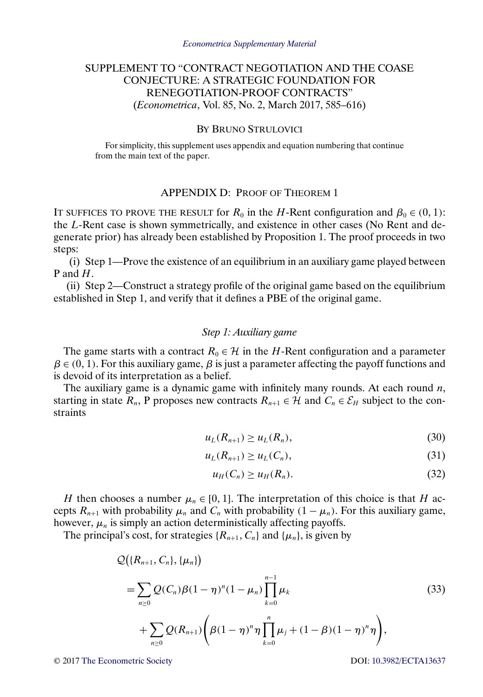# <span id="page-0-0"></span>SUPPLEMENT TO "CONTRACT NEGOTIATION AND THE COASE CONJECTURE: A STRATEGIC FOUNDATION FOR RENEGOTIATION-PROOF CONTRACTS" (*Econometrica*, Vol. 85, No. 2, March 2017, 585–616)

# BY BRUNO STRULOVICI

For simplicity, this supplement uses appendix and equation numbering that continue from the main text of the paper.

### APPENDIX D: PROOF OF THEOREM 1

IT SUFFICES TO PROVE THE RESULT for  $R_0$  in the H-Rent configuration and  $\beta_0 \in (0, 1)$ : the L-Rent case is shown symmetrically, and existence in other cases (No Rent and degenerate prior) has already been established by Proposition 1. The proof proceeds in two steps:

(i) Step 1—Prove the existence of an equilibrium in an auxiliary game played between P and H.

(ii) Step 2—Construct a strategy profile of the original game based on the equilibrium established in Step 1, and verify that it defines a PBE of the original game.

# *Step 1: Auxiliary game*

The game starts with a contract  $R_0 \in \mathcal{H}$  in the H-Rent configuration and a parameter  $\beta \in (0, 1)$ . For this auxiliary game,  $\beta$  is just a parameter affecting the payoff functions and is devoid of its interpretation as a belief.

The auxiliary game is a dynamic game with infinitely many rounds. At each round  $n$ , starting in state  $R_n$ , P proposes new contracts  $R_{n+1} \in \mathcal{H}$  and  $C_n \in \mathcal{E}_H$  subject to the constraints

$$
u_L(R_{n+1}) \ge u_L(R_n),\tag{30}
$$

$$
u_L(R_{n+1}) \ge u_L(C_n), \tag{31}
$$

$$
u_H(C_n) \ge u_H(R_n). \tag{32}
$$

H then chooses a number  $\mu_n \in [0, 1]$ . The interpretation of this choice is that H accepts  $R_{n+1}$  with probability  $\mu_n$  and  $C_n$  with probability  $(1 - \mu_n)$ . For this auxiliary game, however,  $\mu_n$  is simply an action deterministically affecting payoffs.

The principal's cost, for strategies  $\{R_{n+1}, C_n\}$  and  $\{\mu_n\}$ , is given by

$$
Q\big(\{R_{n+1}, C_n\}, \{\mu_n\}\big)
$$
  
=  $\sum_{n\geq 0} Q(C_n) \beta (1-\eta)^n (1-\mu_n) \prod_{k=0}^{n-1} \mu_k$   
+  $\sum_{n\geq 0} Q(R_{n+1}) \Bigg( \beta (1-\eta)^n \eta \prod_{k=0}^n \mu_j + (1-\beta)(1-\eta)^n \eta \Bigg),$  (33)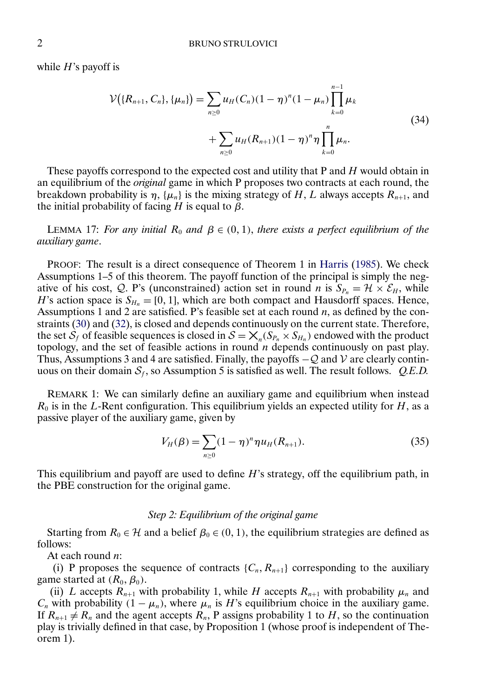<span id="page-1-0"></span>while  $H$ 's payoff is

$$
\mathcal{V}(\{R_{n+1}, C_n\}, \{\mu_n\}) = \sum_{n \ge 0} u_H(C_n)(1 - \eta)^n (1 - \mu_n) \prod_{k=0}^{n-1} \mu_k
$$
  
+ 
$$
\sum_{n \ge 0} u_H(R_{n+1})(1 - \eta)^n \eta \prod_{k=0}^n \mu_n.
$$
 (34)

These payoffs correspond to the expected cost and utility that P and H would obtain in an equilibrium of the *original* game in which P proposes two contracts at each round, the breakdown probability is  $\eta$ , { $\mu_n$ } is the mixing strategy of H, L always accepts  $R_{n+1}$ , and the initial probability of facing H is equal to  $\beta$ .

LEMMA 17: *For any initial*  $R_0$  *and*  $\beta \in (0, 1)$ *, there exists a perfect equilibrium of the auxiliary game*.

PROOF: The result is a direct consequence of Theorem 1 in [Harris](#page-22-0) [\(1985\)](#page-22-0). We check Assumptions 1–5 of this theorem. The payoff function of the principal is simply the negative of his cost, Q. P's (unconstrained) action set in round n is  $S_{P_n} = \mathcal{H} \times \mathcal{E}_H$ , while H's action space is  $S_{H_n} = [0, 1]$ , which are both compact and Hausdorff spaces. Hence, Assumptions 1 and 2 are satisfied. P's feasible set at each round  $n$ , as defined by the constraints [\(30\)](#page-0-0) and [\(32\)](#page-0-0), is closed and depends continuously on the current state. Therefore, the set  $S_f$  of feasible sequences is closed in  $S = \mathsf{X}_n(S_{P_n} \times S_{H_n})$  endowed with the product topology, and the set of feasible actions in round  $n$  depends continuously on past play. Thus, Assumptions 3 and 4 are satisfied. Finally, the payoffs  $-Q$  and V are clearly continuous on their domain  $S_f$ , so Assumption 5 is satisfied as well. The result follows. *Q.E.D.* 

REMARK 1: We can similarly define an auxiliary game and equilibrium when instead  $R_0$  is in the L-Rent configuration. This equilibrium yields an expected utility for  $H$ , as a passive player of the auxiliary game, given by

$$
V_H(\beta) = \sum_{n \ge 0} (1 - \eta)^n \eta u_H(R_{n+1}).
$$
\n(35)

This equilibrium and payoff are used to define  $H$ 's strategy, off the equilibrium path, in the PBE construction for the original game.

#### *Step 2: Equilibrium of the original game*

Starting from  $R_0 \in \mathcal{H}$  and a belief  $\beta_0 \in (0, 1)$ , the equilibrium strategies are defined as follows:

At each round *n*:

(i) P proposes the sequence of contracts  $\{C_n, R_{n+1}\}$  corresponding to the auxiliary game started at  $(R_0, \beta_0)$ .

(ii) L accepts  $R_{n+1}$  with probability 1, while H accepts  $R_{n+1}$  with probability  $\mu_n$  and  $C_n$  with probability  $(1 - \mu_n)$ , where  $\mu_n$  is H's equilibrium choice in the auxiliary game. If  $R_{n+1} \neq R_n$  and the agent accepts  $R_n$ , P assigns probability 1 to H, so the continuation play is trivially defined in that case, by Proposition 1 (whose proof is independent of Theorem 1).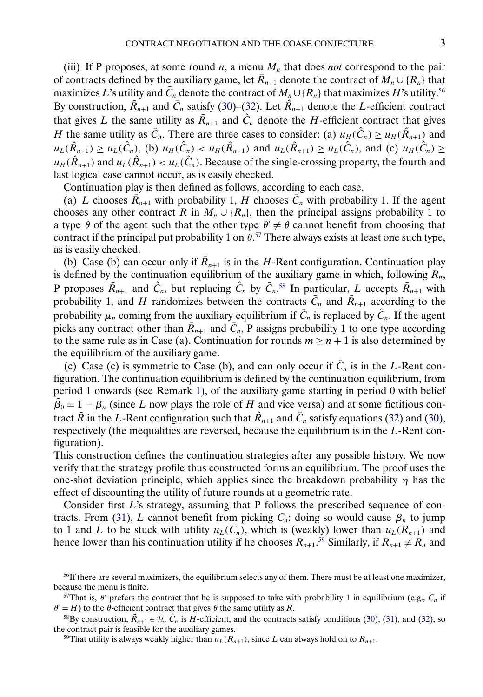(iii) If P proposes, at some round  $n$ , a menu  $M_n$  that does *not* correspond to the pair of contracts defined by the auxiliary game, let  $\overline{R}_{n+1}$  denote the contract of  $M_n \cup \{R_n\}$  that maximizes L's utility and  $\overline{C}_n$  denote the contract of  $M_n \cup \{R_n\}$  that maximizes H's utility.<sup>56</sup> By construction,  $\bar{R}_{n+1}$  and  $\bar{C}_n$  satisfy [\(30\)](#page-0-0)–[\(32\)](#page-0-0). Let  $\hat{R}_{n+1}$  denote the *L*-efficient contract that gives L the same utility as  $\overline{R}_{n+1}$  and  $\hat{C}_n$  denote the H-efficient contract that gives H the same utility as  $\bar{C}_n$ . There are three cases to consider: (a)  $u_H(\hat{C}_n) \geq u_H(\hat{R}_{n+1})$  and  $u_L(\hat{R}_{n+1}) \geq u_L(\hat{C}_n)$ , (b)  $u_H(\hat{C}_n) < u_H(\hat{R}_{n+1})$  and  $u_L(\hat{R}_{n+1}) \geq u_L(\hat{C}_n)$ , and (c)  $u_H(\hat{C}_n) \geq$  $u_H(\hat{R}_{n+1})$  and  $u_L(\hat{R}_{n+1}) < u_L(\hat{C}_n)$ . Because of the single-crossing property, the fourth and last logical case cannot occur, as is easily checked.

Continuation play is then defined as follows, according to each case.

(a) L chooses  $\overline{R}_{n+1}$  with probability 1, H chooses  $\overline{C}_n$  with probability 1. If the agent chooses any other contract R in  $M_n \cup \{R_n\}$ , then the principal assigns probability 1 to a type  $\theta$  of the agent such that the other type  $\theta' \neq \theta$  cannot benefit from choosing that contract if the principal put probability 1 on  $\theta$ <sup>57</sup>. There always exists at least one such type, as is easily checked.

(b) Case (b) can occur only if  $\overline{R}_{n+1}$  is in the H-Rent configuration. Continuation play is defined by the continuation equilibrium of the auxiliary game in which, following  $R_n$ , P proposes  $\bar{R}_{n+1}$  and  $\hat{C}_n$ , but replacing  $\hat{C}_n$  by  $\bar{C}_n$ .<sup>58</sup> In particular, L accepts  $\bar{R}_{n+1}$  with probability 1, and H randomizes between the contracts  $\overline{C}_n$  and  $\overline{R}_{n+1}$  according to the probability  $\mu_n$  coming from the auxiliary equilibrium if  $\bar{C}_n$  is replaced by  $\hat{C}_n$ . If the agent picks any contract other than  $\bar{R}_{n+1}$  and  $\bar{C}_n$ , P assigns probability 1 to one type according to the same rule as in Case (a). Continuation for rounds  $m \ge n + 1$  is also determined by the equilibrium of the auxiliary game.

(c) Case (c) is symmetric to Case (b), and can only occur if  $\overline{C}_n$  is in the L-Rent configuration. The continuation equilibrium is defined by the continuation equilibrium, from period 1 onwards (see Remark [1\)](#page-1-0), of the auxiliary game starting in period 0 with belief  $\tilde{\beta}_0 = 1 - \beta_n$  (since L now plays the role of H and vice versa) and at some fictitious contract  $\tilde{R}$  in the L-Rent configuration such that  $\hat{R}_{n+1}$  and  $\bar{C}_n$  satisfy equations [\(32\)](#page-0-0) and [\(30\)](#page-0-0), respectively (the inequalities are reversed, because the equilibrium is in the  $L$ -Rent configuration).

This construction defines the continuation strategies after any possible history. We now verify that the strategy profile thus constructed forms an equilibrium. The proof uses the one-shot deviation principle, which applies since the breakdown probability  $\eta$  has the effect of discounting the utility of future rounds at a geometric rate.

Consider first L's strategy, assuming that P follows the prescribed sequence of con-tracts. From [\(31\)](#page-0-0), L cannot benefit from picking  $C_n$ : doing so would cause  $\beta_n$  to jump to 1 and L to be stuck with utility  $u_L(C_n)$ , which is (weakly) lower than  $u_L(R_{n+1})$  and hence lower than his continuation utility if he chooses  $R_{n+1}$ .<sup>59</sup> Similarly, if  $R_{n+1} \neq R_n$  and

<sup>&</sup>lt;sup>56</sup>If there are several maximizers, the equilibrium selects any of them. There must be at least one maximizer, because the menu is finite.

<sup>&</sup>lt;sup>57</sup>That is,  $\theta'$  prefers the contract that he is supposed to take with probability 1 in equilibrium (e.g.,  $\bar{C}_n$  if  $\theta' = H$ ) to the  $\theta$ -efficient contract that gives  $\theta$  the same utility as R.

<sup>&</sup>lt;sup>58</sup>By construction,  $\bar{R}_{n+1} \in H$ ,  $\hat{C}_n$  is H-efficient, and the contracts satisfy conditions [\(30\)](#page-0-0), [\(31\)](#page-0-0), and [\(32\)](#page-0-0), so the contract pair is feasible for the auxiliary games.

<sup>&</sup>lt;sup>59</sup>That utility is always weakly higher than  $u_L(R_{n+1})$ , since L can always hold on to  $R_{n+1}$ .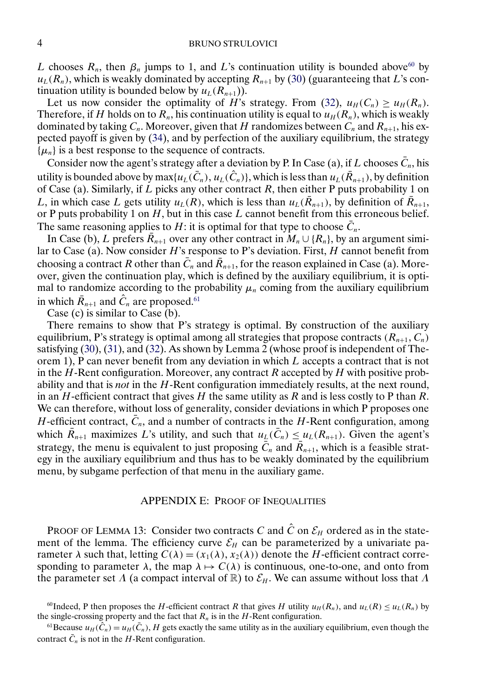#### 4 BRUNO STRULOVICI

L chooses  $R_n$ , then  $\beta_n$  jumps to 1, and L's continuation utility is bounded above<sup>60</sup> by  $u_L(R_n)$ , which is weakly dominated by accepting  $R_{n+1}$  by [\(30\)](#page-0-0) (guaranteeing that L's continuation utility is bounded below by  $u_L(R_{n+1})$ ).

Let us now consider the optimality of H's strategy. From [\(32\)](#page-0-0),  $u_H(C_n) \ge u_H(R_n)$ . Therefore, if H holds on to  $R_n$ , his continuation utility is equal to  $u_H (R_n)$ , which is weakly dominated by taking  $C_n$ . Moreover, given that H randomizes between  $C_n$  and  $R_{n+1}$ , his expected payoff is given by [\(34\)](#page-1-0), and by perfection of the auxiliary equilibrium, the strategy  $\{\mu_n\}$  is a best response to the sequence of contracts.

Consider now the agent's strategy after a deviation by P. In Case (a), if L chooses  $\overline{C}_n$ , his utility is bounded above by max $\{u_L(\bar{C}_n), u_L(\hat{C}_n)\}$ , which is less than  $u_L(\bar{R}_{n+1}),$  by definition of Case (a). Similarly, if L picks any other contract R, then either P puts probability 1 on L, in which case L gets utility  $u_L(R)$ , which is less than  $u_L(\bar{R}_{n+1})$ , by definition of  $R_{n+1}$ , or P puts probability 1 on  $H$ , but in this case  $L$  cannot benefit from this erroneous belief. The same reasoning applies to H: it is optimal for that type to choose  $\overline{C}_n$ .

In Case (b), L prefers  $\overline{R}_{n+1}$  over any other contract in  $M_n \cup \{R_n\}$ , by an argument similar to Case (a). Now consider  $H$ 's response to P's deviation. First,  $H$  cannot benefit from choosing a contract R other than  $\bar{C}_n$  and  $\bar{R}_{n+1}$ , for the reason explained in Case (a). Moreover, given the continuation play, which is defined by the auxiliary equilibrium, it is optimal to randomize according to the probability  $\mu_n$  coming from the auxiliary equilibrium in which  $\bar{R}_{n+1}$  and  $\hat{C}_n$  are proposed.<sup>61</sup>

Case (c) is similar to Case (b).

There remains to show that P's strategy is optimal. By construction of the auxiliary equilibrium, P's strategy is optimal among all strategies that propose contracts  $(R_{n+1}, C_n)$ satisfying [\(30\)](#page-0-0), [\(31\)](#page-0-0), and [\(32\)](#page-0-0). As shown by Lemma 2 (whose proof is independent of Theorem 1), P can never benefit from any deviation in which  $L$  accepts a contract that is not in the  $H$ -Rent configuration. Moreover, any contract  $R$  accepted by  $H$  with positive probability and that is *not* in the H-Rent configuration immediately results, at the next round, in an H-efficient contract that gives H the same utility as R and is less costly to P than R. We can therefore, without loss of generality, consider deviations in which P proposes one H-efficient contract,  $\overline{C}_n$ , and a number of contracts in the H-Rent configuration, among which  $\bar{R}_{n+1}$  maximizes L's utility, and such that  $u_L(\bar{C}_n) \leq u_L(R_{n+1})$ . Given the agent's strategy, the menu is equivalent to just proposing  $\bar{C}_n$  and  $\bar{R}_{n+1}$ , which is a feasible strategy in the auxiliary equilibrium and thus has to be weakly dominated by the equilibrium menu, by subgame perfection of that menu in the auxiliary game.

## APPENDIX E: PROOF OF INEQUALITIES

PROOF OF LEMMA 13: Consider two contracts C and  $\hat{C}$  on  $\mathcal{E}_H$  ordered as in the statement of the lemma. The efficiency curve  $\mathcal{E}_H$  can be parameterized by a univariate parameter  $\lambda$  such that, letting  $C(\lambda) = (x_1(\lambda), x_2(\lambda))$  denote the H-efficient contract corresponding to parameter  $\lambda$ , the map  $\lambda \mapsto C(\lambda)$  is continuous, one-to-one, and onto from the parameter set  $\Lambda$  (a compact interval of R) to  $\mathcal{E}_H$ . We can assume without loss that  $\Lambda$ 

<sup>&</sup>lt;sup>60</sup>Indeed, P then proposes the H-efficient contract R that gives H utility  $u_H(R_n)$ , and  $u_L(R) \le u_L(R_n)$  by the single-crossing property and the fact that  $R_n$  is in the H-Rent configuration.

<sup>&</sup>lt;sup>61</sup>Because  $u_H(\hat{C}_n) = u_H(\bar{C}_n)$ , H gets exactly the same utility as in the auxiliary equilibrium, even though the contract  $\bar{C}_n$  is not in the H-Rent configuration.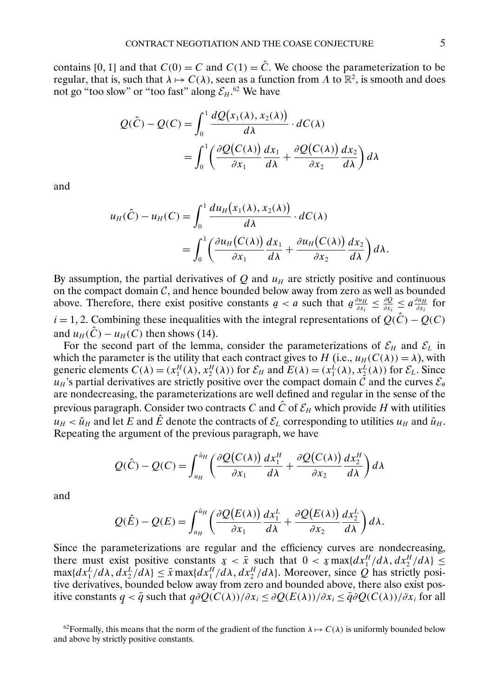contains [0, 1] and that  $C(0) = C$  and  $C(1) = \hat{C}$ . We choose the parameterization to be regular, that is, such that  $\lambda \mapsto C(\lambda)$ , seen as a function from  $\Lambda$  to  $\mathbb{R}^2$ , is smooth and does not go "too slow" or "too fast" along  $\mathcal{E}_H$ .<sup>62</sup> We have

$$
Q(\hat{C}) - Q(C) = \int_0^1 \frac{dQ(x_1(\lambda), x_2(\lambda))}{d\lambda} \cdot dC(\lambda)
$$
  
= 
$$
\int_0^1 \left( \frac{\partial Q(C(\lambda))}{\partial x_1} \frac{dx_1}{d\lambda} + \frac{\partial Q(C(\lambda))}{\partial x_2} \frac{dx_2}{d\lambda} \right) d\lambda
$$

and

$$
u_H(\hat{C}) - u_H(C) = \int_0^1 \frac{du_H(x_1(\lambda), x_2(\lambda))}{d\lambda} \cdot dC(\lambda)
$$
  
= 
$$
\int_0^1 \left( \frac{\partial u_H(C(\lambda))}{\partial x_1} \frac{dx_1}{d\lambda} + \frac{\partial u_H(C(\lambda))}{\partial x_2} \frac{dx_2}{d\lambda} \right) d\lambda.
$$

By assumption, the partial derivatives of Q and  $u_H$  are strictly positive and continuous on the compact domain  $\mathcal{C}$ , and hence bounded below away from zero as well as bounded above. Therefore, there exist positive constants  $a < a$  such that  $a$  $\frac{\partial u_H}{\partial x_i} \leq \frac{\partial Q}{\partial x_i} \leq a \frac{\partial u_H}{\partial x_i}$  for  $i = 1, 2$ . Combining these inequalities with the integral representations of  $Q(\hat{C}) - Q(C)$ and  $u_H(C) - u_H(C)$  then shows (14).

For the second part of the lemma, consider the parameterizations of  $\mathcal{E}_H$  and  $\mathcal{E}_L$  in which the parameter is the utility that each contract gives to H (i.e.,  $u_H(C(\lambda)) = \lambda$ ), with generic elements  $C(\lambda) = (x_1^H(\lambda), x_2^H(\lambda))$  for  $\mathcal{E}_H$  and  $E(\lambda) = (x_1^L(\lambda), x_2^L(\lambda))$  for  $\mathcal{E}_L$ . Since  $u_H$ 's partial derivatives are strictly positive over the compact domain  $\tilde{\mathcal{C}}$  and the curves  $\mathcal{E}_{\theta}$ are nondecreasing, the parameterizations are well defined and regular in the sense of the previous paragraph. Consider two contracts C and  $\hat{C}$  of  $\mathcal{E}_H$  which provide H with utilities  $u_H < \hat{u}_H$  and let E and  $\hat{E}$  denote the contracts of  $\mathcal{E}_L$  corresponding to utilities  $u_H$  and  $\hat{u}_H$ . Repeating the argument of the previous paragraph, we have

$$
Q(\hat{C}) - Q(C) = \int_{u_H}^{\hat{u}_H} \left( \frac{\partial Q(C(\lambda))}{\partial x_1} \frac{dx_1^H}{d\lambda} + \frac{\partial Q(C(\lambda))}{\partial x_2} \frac{dx_2^H}{d\lambda} \right) d\lambda
$$

and

$$
Q(\hat{E}) - Q(E) = \int_{u_H}^{\hat{u}_H} \left( \frac{\partial Q(E(\lambda))}{\partial x_1} \frac{dx_1^L}{d\lambda} + \frac{\partial Q(E(\lambda))}{\partial x_2} \frac{dx_2^L}{d\lambda} \right) d\lambda.
$$

Since the parameterizations are regular and the efficiency curves are nondecreasing, there must exist positive constants  $x < \bar{x}$  such that  $0 < x \max\{dx^H/d\lambda, dx^H/d\lambda\} \le$ <br>max $\{dx^L/d\lambda, dx^L/d\lambda\} < \bar{x}$  max $\{dx^H/d\lambda, dx^H/d\lambda\}$ . Moreover since O has strictly posi- $\max\{dx_1^L/d\lambda, dx_2^L/d\lambda\} \leq \bar{x} \max\{dx_1^H/d\lambda, dx_2^H/d\lambda\}$ . Moreover, since Q has strictly positive derivatives, bounded below away from zero and bounded above, there also exist positive constants  $q < \bar{q}$  such that  $q\partial Q(C(\lambda))/\partial x_i \leq \partial Q(E(\lambda))/\partial x_i \leq \bar{q}\partial Q(C(\lambda))/\partial x_i$  for all ¯ ¯

<sup>&</sup>lt;sup>62</sup>Formally, this means that the norm of the gradient of the function  $\lambda \mapsto C(\lambda)$  is uniformly bounded below and above by strictly positive constants.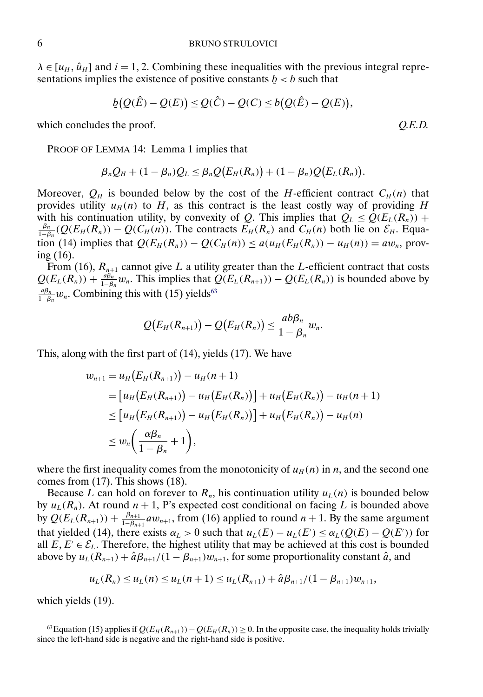$\lambda \in [u_H, \hat{u}_H]$  and  $i = 1, 2$ . Combining these inequalities with the previous integral representations implies the existence of positive constants  $\mathbf{b} < \mathbf{b}$  such that

$$
\underline{b}(Q(\hat{E})-Q(E)) \leq Q(\hat{C})-Q(C) \leq b(Q(\hat{E})-Q(E)),
$$

which concludes the proof.

PROOF OF LEMMA 14: Lemma 1 implies that

$$
\beta_n Q_H + (1 - \beta_n) Q_L \leq \beta_n Q(E_H(R_n)) + (1 - \beta_n) Q(E_L(R_n)).
$$

Moreover,  $Q_H$  is bounded below by the cost of the H-efficient contract  $C_H(n)$  that provides utility  $u_H(n)$  to H, as this contract is the least costly way of providing H with his continuation utility, by convexity of Q. This implies that  $Q_L \leq Q(E_L(R_n))$  +  $\frac{\beta_n}{1-\beta_n}(Q(E_H(R_n)) - Q(C_H(n))$ . The contracts  $E_H(R_n)$  and  $C_H(n)$  both lie on  $\mathcal{E}_H$ . Equation (14) implies that  $Q(E_H(R_n)) - Q(C_H(n)) \le a(u_H(E_H(R_n)) - u_H(n)) = aw_n$ , proving (16).

From (16),  $R_{n+1}$  cannot give L a utility greater than the L-efficient contract that costs  $Q(E_L(R_n)) + \frac{a\beta_n}{1-\beta_n}w_n$ . This implies that  $Q(E_L(R_{n+1})) - Q(E_L(R_n))$  is bounded above by  $\frac{a\beta_n}{1-\beta_n}$ w<sub>n</sub>. Combining this with (15) yields<sup>63</sup>

$$
Q(E_H(R_{n+1})) - Q(E_H(R_n)) \leq \frac{ab\beta_n}{1-\beta_n}w_n.
$$

This, along with the first part of (14), yields (17). We have

$$
w_{n+1} = u_H(E_H(R_{n+1})) - u_H(n+1)
$$
  
=  $[u_H(E_H(R_{n+1})) - u_H(E_H(R_n))] + u_H(E_H(R_n)) - u_H(n+1)$   
 $\leq [u_H(E_H(R_{n+1})) - u_H(E_H(R_n))] + u_H(E_H(R_n)) - u_H(n)$   
 $\leq w_n\left(\frac{\alpha\beta_n}{1-\beta_n}+1\right),$ 

where the first inequality comes from the monotonicity of  $u_H(n)$  in n, and the second one comes from (17). This shows (18).

Because L can hold on forever to  $R_n$ , his continuation utility  $u<sub>L</sub>(n)$  is bounded below by  $u_L(R_n)$ . At round  $n + 1$ , P's expected cost conditional on facing L is bounded above by  $Q(E_L(R_{n+1})) + \frac{\beta_{n+1}}{1-\beta_{n+1}} a w_{n+1}$ , from (16) applied to round  $n+1$ . By the same argument that yielded (14), there exists  $\alpha_L > 0$  such that  $u_L(E) - u_L(E') \leq \alpha_L(Q(E) - Q(E'))$  for all  $E, E' \in \mathcal{E}_L$ . Therefore, the highest utility that may be achieved at this cost is bounded above by  $u_L(R_{n+1}) + \hat{a}\beta_{n+1}/(1 - \beta_{n+1})w_{n+1}$ , for some proportionality constant  $\hat{a}$ , and

$$
u_L(R_n) \le u_L(n) \le u_L(n+1) \le u_L(R_{n+1}) + \hat{a}\beta_{n+1}/(1-\beta_{n+1})w_{n+1},
$$

which yields (19).

<sup>63</sup>Equation (15) applies if  $Q(E_H(R_{n+1})) - Q(E_H(R_n)) \ge 0$ . In the opposite case, the inequality holds trivially since the left-hand side is negative and the right-hand side is positive.

$$
O.E.D.
$$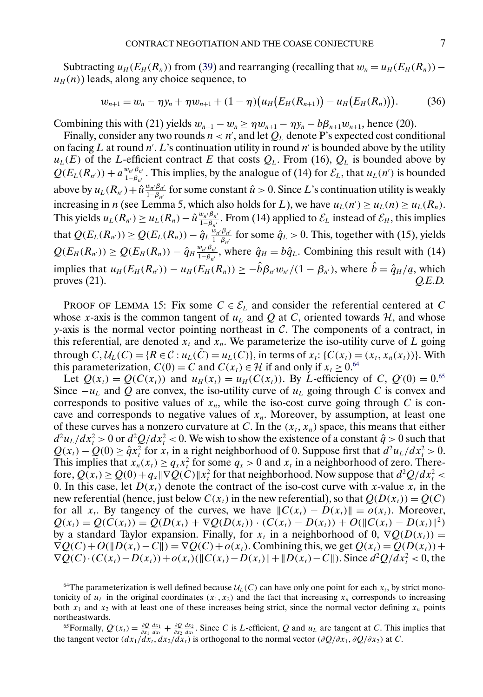<span id="page-6-0"></span>Subtracting  $u_H(E_H(R_n))$  from [\(39\)](#page-8-0) and rearranging (recalling that  $w_n = u_H(E_H(R_n))$  –  $u_H(n)$ ) leads, along any choice sequence, to

$$
w_{n+1} = w_n - \eta y_n + \eta w_{n+1} + (1 - \eta) \big( u_H \big( E_H(R_{n+1}) \big) - u_H \big( E_H(R_n) \big) \big). \tag{36}
$$

Combining this with (21) yields  $w_{n+1} - w_n \geq \eta w_{n+1} - \eta y_n - b\beta_{n+1}w_{n+1}$ , hence (20).

Finally, consider any two rounds  $n < n'$ , and let  $Q_L$  denote P's expected cost conditional on facing L at round  $n'$ . L's continuation utility in round  $n'$  is bounded above by the utility  $u_L(E)$  of the L-efficient contract E that costs  $Q_L$ . From (16),  $Q_L$  is bounded above by  $Q(E_L(R_{n'})) + a \frac{w_{n'} \beta_{n'}}{1 - \beta_{n'}}$ . This implies, by the analogue of (14) for  $\mathcal{E}_L$ , that  $u_L(n')$  is bounded above by  $u_L(R_{n'}) + \hat{u} \frac{w_{n'}\beta_{n'}}{1-\beta_{n'}}$  for some constant  $\hat{u} > 0$ . Since L's continuation utility is weakly increasing in *n* (see Lemma 5, which also holds for L), we have  $u_L(n') \ge u_L(n) \ge u_L(R_n)$ . This yields  $u_L(R_{n'}) \ge u_L(R_n) - \hat{u} \frac{w_{n'}\beta_{n'}}{1-\beta_{n'}}$ . From (14) applied to  $\mathcal{E}_L$  instead of  $\mathcal{E}_H$ , this implies that  $Q(E_L(R_{n'})) \geq Q(E_L(R_n)) - \hat{q}_L \frac{w_{n'}\beta_{n'}}{1-\beta_{n'}}$  for some  $\hat{q}_L > 0$ . This, together with (15), yields  $Q(E_H(R_{n'})) \ge Q(E_H(R_n)) - \hat{q}_H \frac{w_{n'}\beta_{n'}}{1-\beta_{n'}}$ , where  $\hat{q}_H = b\hat{q}_L$ . Combining this result with (14) implies that  $u_H(E_H(R_{n'})) - u_H(E_H(R_n)) \ge -\hat{b}\beta_{n'}w_{n'}/(1-\beta_{n'})$ , where  $\hat{b} = \hat{q}_H/q$ , which proves (21). *Q.E.D.*

PROOF OF LEMMA 15: Fix some  $C \in \mathcal{E}_L$  and consider the referential centered at C whose x-axis is the common tangent of  $u<sub>L</sub>$  and Q at C, oriented towards H, and whose  $y$ -axis is the normal vector pointing northeast in  $C$ . The components of a contract, in this referential, are denoted  $x_t$  and  $x_n$ . We parameterize the iso-utility curve of L going through  $C, U_L(C) = \{R \in \mathcal{C} : u_L(\tilde{C}) = u_L(C)\}\)$ , in terms of  $x_t : \{C(x_t) = (x_t, x_n(x_t))\}\)$ . With this parameterization,  $C(0) = C$  and  $C(x_t) \in \mathcal{H}$  if and only if  $x_t \ge 0.64$ 

Let  $Q(x_t) = Q(C(x_t))$  and  $u_H(x_t) = u_H(C(x_t))$ . By *L*-efficiency of *C*,  $Q'(0) = 0.65$ Since  $-u<sub>L</sub>$  and Q are convex, the iso-utility curve of  $u<sub>L</sub>$  going through C is convex and corresponds to positive values of  $x_n$ , while the iso-cost curve going through C is concave and corresponds to negative values of  $x_n$ . Moreover, by assumption, at least one of these curves has a nonzero curvature at C. In the  $(x_t, x_n)$  space, this means that either  $d^2u_L/dx_t^2 > 0$  or  $d^2Q/dx_t^2 < 0$ . We wish to show the existence of a constant  $\hat{q} > 0$  such that  $Q(x_t) - Q(0) \geq \hat{q}x_t^2$  for  $x_t$  in a right neighborhood of 0. Suppose first that  $d^2u_t/dx_t^2 > 0$ . This implies that  $x_n(x_t) \ge q_x x_t^2$  for some  $q_x > 0$  and  $x_t$  in a neighborhood of zero. Therefore,  $Q(x_t) \ge Q(0) + q_x \|\nabla Q(C)\| x_t^2$  for that neighborhood. Now suppose that  $d^2Q/dx_t^2$ 0. In this case, let  $D(x_t)$  denote the contract of the iso-cost curve with x-value  $x_t$  in the new referential (hence, just below  $C(x_t)$  in the new referential), so that  $Q(D(x_t)) = Q(C)$ for all  $x_t$ . By tangency of the curves, we have  $||C(x_t) - D(x_t)|| = o(x_t)$ . Moreover,  $Q(x_t) = Q(C(x_t)) = Q(D(x_t) + \nabla Q(D(x_t)) \cdot (C(x_t) - D(x_t)) + O(\|C(x_t) - D(x_t)\|^2)$ by a standard Taylor expansion. Finally, for  $x_t$  in a neighborhood of 0,  $\nabla Q(D(x_t)) =$  $\nabla Q(C) + O(||D(x_t) - C||) = \nabla Q(C) + o(x_t)$ . Combining this, we get  $Q(x_t) = Q(D(x_t)) +$  $\nabla Q(C) \cdot (C(x_t) - D(x_t)) + o(x_t) (\|C(x_t) - D(x_t)\| + \|D(x_t) - C\|).$  Since  $d^2Q/dx_t^2 < 0$ , the

<sup>64</sup>The parameterization is well defined because  $U_L(C)$  can have only one point for each  $x_t$ , by strict monotonicity of  $u_L$  in the original coordinates  $(x_1, x_2)$  and the fact that increasing  $x_n$  corresponds to increasing both  $x_1$  and  $x_2$  with at least one of these increases being strict, since the normal vector defining  $x_n$  points northeastwards.

<sup>65</sup> Formally,  $Q'(x_t) = \frac{\partial Q}{\partial x_1} \frac{dx_1}{dx_t} + \frac{\partial Q}{\partial x_2} \frac{dx_2}{dx_t}$ . Since C is L-efficient, Q and  $u_L$  are tangent at C. This implies that the tangent vector  $(dx_1/dx_t, dx_2/dx_t)$  is orthogonal to the normal vector  $(\partial Q/\partial x_1, \partial Q/\partial x_2)$  at C.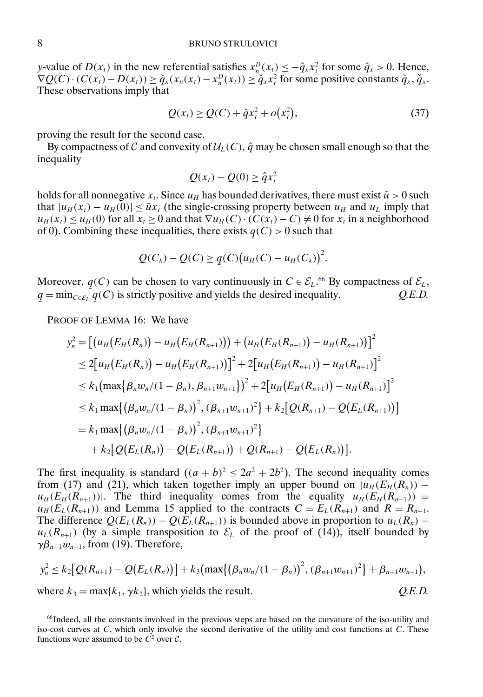y-value of  $D(x_t)$  in the new referential satisfies  $x_n^D(x_t) \le -\hat{q}_x x_t^2$  for some  $\hat{q}_x > 0$ . Hence,  $\nabla Q(C) \cdot (C(x_t) - D(x_t)) \ge \tilde{q}_x(x_n(x_t) - x_n^D(x_t)) \ge \tilde{q}_x x_t^2$  for some positive constants  $\tilde{q}_x, \tilde{q}_x$ . These observations imply that

$$
Q(x_t) \ge Q(C) + \hat{q}x_t^2 + o(x_t^2),
$$
\n(37)

proving the result for the second case.

By compactness of C and convexity of  $\mathcal{U}_L(C)$ ,  $\hat{q}$  may be chosen small enough so that the inequality

$$
Q(x_t) - Q(0) \geq \hat{q} x_t^2
$$

holds for all nonnegative  $x_t$ . Since  $u_H$  has bounded derivatives, there must exist  $\bar{u} > 0$  such that  $|u_H(x_t) - u_H(0)| \leq \bar{u}x_t$  (the single-crossing property between  $u_H$  and  $u_L$  imply that  $u_H(x_t) \le u_H(0)$  for all  $x_t \ge 0$  and that  $\nabla u_H(C) \cdot (C(x_t) - C) \ne 0$  for  $x_t$  in a neighborhood of 0). Combining these inequalities, there exists  $q(C) > 0$  such that ¯

$$
Q(C_{\lambda}) - Q(C) \ge q(C) (u_H(C) - u_H(C_{\lambda}))^{2}.
$$

Moreover,  $q(C)$  can be chosen to vary continuously in  $C \in \mathcal{E}_L$ .<sup>66</sup> By compactness of  $\mathcal{E}_L$ ,  $q = \min_{C \in \mathcal{E}_l}$  $q = \min_{C \in \mathcal{E}_L} q$ (C) is strictly positive and yields the desired inequality. *Q.E.D.*

PROOF OF LEMMA 16: We have

$$
y_n^2 = [(u_H(E_H(R_n)) - u_H(E_H(R_{n+1})) + (u_H(E_H(R_{n+1})) - u_H(R_{n+1}))]^2
$$
  
\n
$$
\leq 2[u_H(E_H(R_n)) - u_H(E_H(R_{n+1}))]^2 + 2[u_H(E_H(R_{n+1})) - u_H(R_{n+1})]^2
$$
  
\n
$$
\leq k_1(\max{\beta_n w_n/(1 - \beta_n), \beta_{n+1} w_{n+1}})^2 + 2[u_H(E_H(R_{n+1})) - u_H(R_{n+1})]^2
$$
  
\n
$$
\leq k_1 \max\{(\beta_n w_n/(1 - \beta_n))^2, (\beta_{n+1} w_{n+1})^2\} + k_2[Q(R_{n+1}) - Q(E_L(R_{n+1}))]
$$
  
\n
$$
= k_1 \max\{(\beta_n w_n/(1 - \beta_n))^2, (\beta_{n+1} w_{n+1})^2\}
$$
  
\n
$$
+ k_2[Q(E_L(R_n)) - Q(E_L(R_{n+1})) + Q(R_{n+1}) - Q(E_L(R_n))].
$$

The first inequality is standard  $((a + b)^2 \leq 2a^2 + 2b^2)$ . The second inequality comes from (17) and (21), which taken together imply an upper bound on  $|u_H(E_H(R_n))$  $u_H(E_H(R_{n+1}))$ . The third inequality comes from the equality  $u_H(E_H(R_{n+1}))$  =  $u_H(E_L(R_{n+1}))$  and Lemma 15 applied to the contracts  $C = E_L(R_{n+1})$  and  $R = R_{n+1}$ . The difference  $Q(E_L(R_n)) - Q(E_L(R_{n+1}))$  is bounded above in proportion to  $u_L(R_n)$  –  $u_L(R_{n+1})$  (by a simple transposition to  $\mathcal{E}_L$  of the proof of (14)), itself bounded by  $\gamma \beta_{n+1} w_{n+1}$ , from (19). Therefore,

$$
y_n^2 \le k_2 [Q(R_{n+1}) - Q(E_L(R_n))] + k_3 (\max\{(\beta_n w_n/(1 - \beta_n))^2, (\beta_{n+1} w_{n+1})^2\} + \beta_{n+1} w_{n+1}),
$$
  
where  $k_3 = \max\{k_1, \gamma k_2\}$ , which yields the result. Q.E.D.

<sup>&</sup>lt;sup>66</sup>Indeed, all the constants involved in the previous steps are based on the curvature of the iso-utility and iso-cost curves at  $C$ , which only involve the second derivative of the utility and cost functions at  $C$ . These functions were assumed to be  $C^2$  over  $C$ .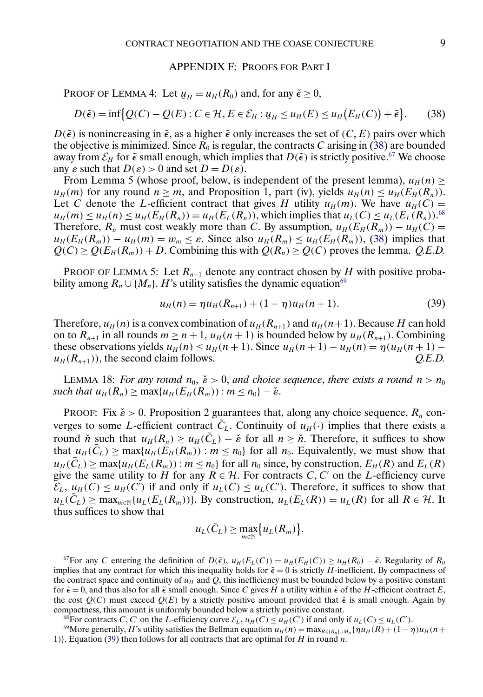#### APPENDIX F: PROOFS FOR PART I

<span id="page-8-0"></span>PROOF OF LEMMA 4: Let  $u_H = u_H(R_0)$  and, for any  $\tilde{\epsilon} \ge 0$ ,

$$
D(\tilde{\epsilon}) = \inf \{ Q(C) - Q(E) : C \in \mathcal{H}, E \in \mathcal{E}_H : u_H \le u_H(E) \le u_H(E_H(C)) + \tilde{\epsilon} \}.
$$
 (38)

 $D(\tilde{\epsilon})$  is nonincreasing in  $\tilde{\epsilon}$ , as a higher  $\tilde{\epsilon}$  only increases the set of  $(C, E)$  pairs over which the objective is minimized. Since  $\overline{R}_0$  is regular, the contracts C arising in (38) are bounded away from  $\mathcal{E}_H$  for  $\tilde{\epsilon}$  small enough, which implies that  $D(\tilde{\epsilon})$  is strictly positive.<sup>67</sup> We choose any  $\varepsilon$  such that  $D(\varepsilon) > 0$  and set  $D = D(\varepsilon)$ .

From Lemma 5 (whose proof, below, is independent of the present lemma),  $u_H(n)$  $u_H(m)$  for any round  $n \ge m$ , and Proposition 1, part (iv), yields  $u_H(n) \le u_H(E_H(R_n))$ . Let C denote the L-efficient contract that gives H utility  $u_H(m)$ . We have  $u_H(C)$  =  $u_H(m) \le u_H(n) \le u_H(E_H(R_n)) = u_H(E_L(R_n))$ , which implies that  $u_L(C) \le u_L(E_L(R_n))$ .<sup>68</sup> Therefore,  $R_n$  must cost weakly more than C. By assumption,  $u_H(E_H(R_m)) - u_H(C) =$  $u_H(E_H(R_m)) - u_H(m) = w_m \leq \varepsilon$ . Since also  $u_H(R_m) \leq u_H(E_H(R_m))$ , (38) implies that  $Q(C) \ge Q(E_H(R_m)) + D$ . Combining this with  $Q(R_n) \ge Q(C)$  proves the lemma. *Q.E.D.* 

PROOF OF LEMMA 5: Let  $R_{n+1}$  denote any contract chosen by H with positive probability among  $R_n \cup \{M_n\}$ . H's utility satisfies the dynamic equation<sup>69</sup>

$$
u_H(n) = \eta u_H(R_{n+1}) + (1 - \eta)u_H(n+1). \tag{39}
$$

Therefore,  $u_H(n)$  is a convex combination of  $u_H(R_{n+1})$  and  $u_H(n+1)$ . Because H can hold on to  $R_{n+1}$  in all rounds  $m \ge n+1$ ,  $u_H(n+1)$  is bounded below by  $u_H(R_{n+1})$ . Combining these observations yields  $u_H(n) \le u_H(n+1)$ . Since  $u_H(n+1) - u_H(n) = \eta(u_H(n+1)$  $u_H(R_{n+1})$ , the second claim follows.  $Q.E.D.$ 

LEMMA 18: *For any round*  $n_0$ ,  $\check{\epsilon} > 0$ , *and choice sequence*, *there exists a round*  $n > n_0$ *such that*  $u_H(R_n) > \max\{u_H(E_H(R_m)) : m \leq n_0\} - \check{\epsilon}$ .

PROOF: Fix  $\check{\epsilon} > 0$ . Proposition 2 guarantees that, along any choice sequence,  $R_n$  converges to some L-efficient contract  $\overline{C}_L$ . Continuity of  $u_H(\cdot)$  implies that there exists a round *n*̌ such that  $u_H(R_n) \ge u_H(\bar{C}_L) - \check{\epsilon}$  for all  $n \ge \check{n}$ . Therefore, it suffices to show that  $u_H(\bar{C}_L) \ge \max\{u_H(\bar{E}_H(\bar{R}_m)) : m \le n_0\}$  for all  $n_0$ . Equivalently, we must show that  $u_H(C_L) \ge \max\{u_H(E_L(R_m)) : m \le n_0\}$  for all  $n_0$  since, by construction,  $E_H(R)$  and  $E_L(R)$ give the same utility to H for any  $R \in \mathcal{H}$ . For contracts C, C' on the L-efficiency curve  $\mathcal{E}_L$ ,  $u_H(C) \le u_H(C')$  if and only if  $u_L(C) \le u_L(C')$ . Therefore, it suffices to show that  $u_L(C_L) \ge \max_{m \in \mathbb{N}} \{u_L(E_L(R_m))\}$ . By construction,  $u_L(E_L(R)) = u_L(R)$  for all  $R \in \mathcal{H}$ . It thus suffices to show that

$$
u_L(\bar{C}_L) \ge \max_{m \in \mathbb{N}} \{u_L(R_m)\}.
$$

<sup>67</sup>For any C entering the definition of  $D(\tilde{\epsilon})$ ,  $u_H(E_L(C)) = u_H(E_H(C)) \ge u_H(R_0) - \tilde{\epsilon}$ . Regularity of  $R_0$ implies that any contract for which this inequality holds for  $\tilde{\epsilon} = 0$  is strictly H-inefficient. By compactness of the contract space and continuity of  $u_H$  and Q, this inefficiency must be bounded below by a positive constant for  $\tilde{\epsilon} = 0$ , and thus also for all  $\tilde{\epsilon}$  small enough. Since C gives H a utility within  $\tilde{\epsilon}$  of the H-efficient contract E, the cost  $Q(C)$  must exceed  $Q(E)$  by a strictly positive amount provided that  $\tilde{\epsilon}$  is small enough. Again by compactness, this amount is uniformly bounded below a strictly positive constant.

<sup>68</sup>For contracts C, C' on the L-efficiency curve  $\mathcal{E}_L$ ,  $u_H(C) \leq u_H(C')$  if and only if  $u_L(C) \leq u_L(C')$ .

<sup>69</sup>More generally, H's utility satisfies the Bellman equation  $u_H(n) = \max_{R \in [R_n] \cup M_n} {\eta u_H(R) + (1 - \eta)u_H(n+1)}$ 1)}. Equation (39) then follows for all contracts that are optimal for  $H$  in round n.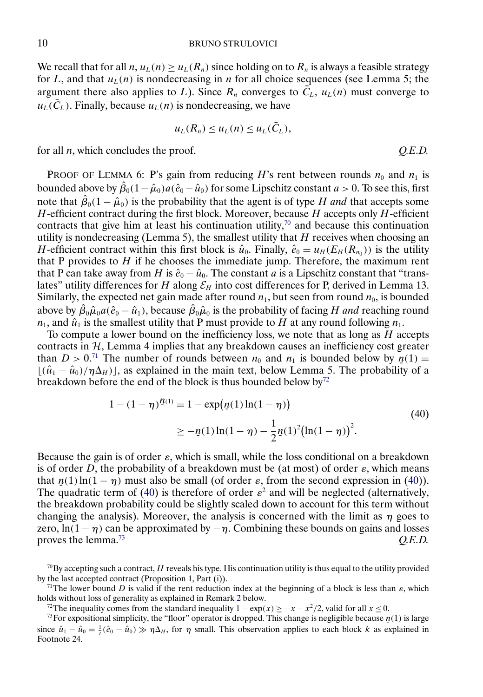#### 10 BRUNO STRULOVICI

We recall that for all  $n, u_L(n) \ge u_L(R_n)$  since holding on to  $R_n$  is always a feasible strategy for L, and that  $u<sub>L</sub>(n)$  is nondecreasing in n for all choice sequences (see Lemma 5; the argument there also applies to L). Since  $R_n$  converges to  $\overline{C}_L$ ,  $u_L(n)$  must converge to  $u_L(\bar{C}_L)$ . Finally, because  $u_L(n)$  is nondecreasing, we have

$$
u_L(R_n) \le u_L(n) \le u_L(\bar{C}_L),
$$

for all n, which concludes the proof. *Q.E.D.*

PROOF OF LEMMA 6: P's gain from reducing H's rent between rounds  $n_0$  and  $n_1$  is bounded above by  $\hat{\beta}_0(1-\hat{\mu}_0)a(\hat{e}_0-\hat{u}_0)$  for some Lipschitz constant  $a > 0$ . To see this, first note that  $\hat{\beta}_0(1-\hat{\mu}_0)$  is the probability that the agent is of type H *and* that accepts some  $H$ -efficient contract during the first block. Moreover, because  $H$  accepts only  $H$ -efficient contracts that give him at least his continuation utility, $7<sup>0</sup>$  and because this continuation utility is nondecreasing (Lemma 5), the smallest utility that  $H$  receives when choosing an H-efficient contract within this first block is  $\hat{u}_0$ . Finally,  $\hat{e}_0 = u_H(E_H(R_{n_0}))$  is the utility that P provides to  $H$  if he chooses the immediate jump. Therefore, the maximum rent that P can take away from H is  $\hat{e}_0 - \hat{u}_0$ . The constant a is a Lipschitz constant that "translates" utility differences for H along  $\mathcal{E}_H$  into cost differences for P, derived in Lemma 13. Similarly, the expected net gain made after round  $n_1$ , but seen from round  $n_0$ , is bounded above by  $\hat{\beta}_0 \hat{\mu}_0 a(\hat{e}_0 - \hat{u}_1)$ , because  $\hat{\beta}_0 \hat{\mu}_0$  is the probability of facing H *and* reaching round  $n_1$ , and  $\hat{u}_1$  is the smallest utility that P must provide to H at any round following  $n_1$ .

To compute a lower bound on the inefficiency loss, we note that as long as  $H$  accepts contracts in  $H$ , Lemma 4 implies that any breakdown causes an inefficiency cost greater than  $D > 0$ .<sup>71</sup> The number of rounds between  $n_0$  and  $n_1$  is bounded below by  $n(1) =$  $[(\hat{u}_1 - \hat{u}_0)/\eta \Delta_H)]$ , as explained in the main text, below Lemma 5. The probability of a breakdown before the end of the block is thus bounded below by<sup>72</sup>

$$
1 - (1 - \eta)^{\underline{n}(1)} = 1 - \exp(\underline{n}(1)\ln(1 - \eta))
$$
  
\n
$$
\geq -\underline{n}(1)\ln(1 - \eta) - \frac{1}{2}\underline{n}(1)^{2}(\ln(1 - \eta))^{2}.
$$
\n(40)

Because the gain is of order  $\varepsilon$ , which is small, while the loss conditional on a breakdown is of order D, the probability of a breakdown must be (at most) of order  $\varepsilon$ , which means that  $n(1) \ln(1 - \eta)$  must also be small (of order  $\varepsilon$ , from the second expression in (40)). The quadratic term of (40) is therefore of order  $\varepsilon^2$  and will be neglected (alternatively, the breakdown probability could be slightly scaled down to account for this term without changing the analysis). Moreover, the analysis is concerned with the limit as  $\eta$  goes to zero,  $ln(1 - \eta)$  can be approximated by  $-\eta$ . Combining these bounds on gains and losses proves the lemma.<sup>73</sup> and the lemma of the lemma of the lemma of the lemma of the lemma.<sup>73</sup> and the lemma of the lemma of the lemma of the lemma of the lemma of the lemma of the lemma of the lemma of the lemma of the lemm

<sup>72</sup>The inequality comes from the standard inequality  $1 - \exp(x) \geq -x - x^2/2$ , valid for all  $x \leq 0$ .

 $70$ By accepting such a contract, H reveals his type. His continuation utility is thus equal to the utility provided by the last accepted contract (Proposition 1, Part (i)).

<sup>&</sup>lt;sup>71</sup>The lower bound D is valid if the rent reduction index at the beginning of a block is less than  $\varepsilon$ , which holds without loss of generality as explained in Remark [2](#page-11-0) below.

<sup>&</sup>lt;sup>73</sup>For expositional simplicity, the "floor" operator is dropped. This change is negligible because  $n(1)$  is large since  $\hat{u}_1 - \hat{u}_0 = \frac{1}{t} (\hat{e}_0 - \hat{u}_0) \gg \eta \Delta_H$ , for  $\eta$  small. This observation applies to each block k as explained in Footnote 24.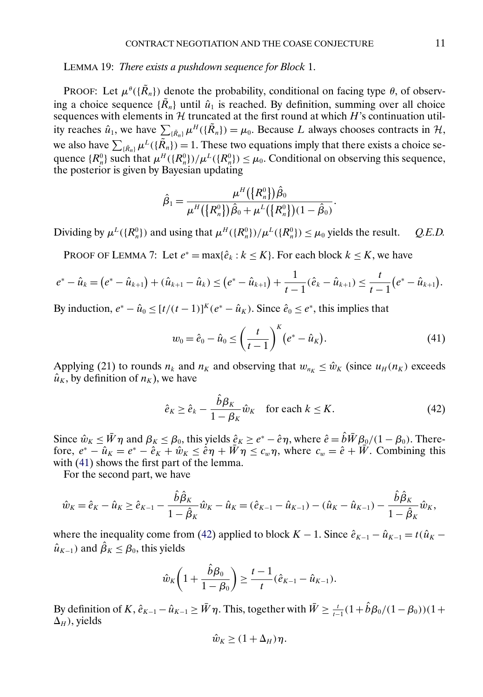<span id="page-10-0"></span>LEMMA 19: *There exists a pushdown sequence for Block* 1.

PROOF: Let  $\mu^{\theta}(\lbrace \mathbf{R}_n \rbrace)$  denote the probability, conditional on facing type  $\theta$ , of observing a choice sequence  $\{\tilde{R}_n\}$  until  $\hat{u}_1$  is reached. By definition, summing over all choice sequences with elements in  $H$  truncated at the first round at which  $H$ 's continuation utility reaches  $\hat{u}_1$ , we have  $\sum_{\{\tilde{R}_n\}} \mu^H(\{\tilde{R}_n\}) = \mu_0$ . Because L always chooses contracts in  $\mathcal{H}$ , we also have  $\sum_{\{\tilde{R}_n\}} \mu^L(\{\tilde{R}_n\}) = 1$ . These two equations imply that there exists a choice sequence  $\{R_n^0\}$  such that  $\mu^H(\{R_n^0\})/\mu^L(\{R_n^0\}) \leq \mu_0$ . Conditional on observing this sequence, the posterior is given by Bayesian updating

$$
\hat{\beta}_1=\frac{\mu^H\big(\big\{R_n^0\big\}\big)\hat{\beta}_0}{\mu^H\big(\big\{R_n^0\big\}\big)\hat{\beta}_0+\mu^L\big(\big\{R_n^0\big\}\big)(1-\hat{\beta}_0)}.
$$

Dividing by  $\mu^L(\lbrace R_n^0 \rbrace)$  and using that  $\mu^H(\lbrace R_n^0 \rbrace)/\mu^L(\lbrace R_n^0 \rbrace) \leq \mu_0$  yields the result. *Q.E.D.* 

PROOF OF LEMMA 7: Let  $e^* = \max{\{\hat{e}_k : k \leq K\}}$ . For each block  $k \leq K$ , we have

$$
e^* - \hat{u}_k = (e^* - \hat{u}_{k+1}) + (\hat{u}_{k+1} - \hat{u}_k) \le (e^* - \hat{u}_{k+1}) + \frac{1}{t-1}(\hat{e}_k - \hat{u}_{k+1}) \le \frac{t}{t-1}(e^* - \hat{u}_{k+1}).
$$

By induction,  $e^* - \hat{u}_0 \le [t/(t-1)]^K (e^* - \hat{u}_K)$ . Since  $\hat{e}_0 \le e^*$ , this implies that

$$
w_0 = \hat{e}_0 - \hat{u}_0 \le \left(\frac{t}{t-1}\right)^K \left(e^* - \hat{u}_K\right).
$$
 (41)

Applying (21) to rounds  $n_k$  and  $n_K$  and observing that  $w_{n_k} \leq \hat{w}_k$  (since  $u_H(n_k)$  exceeds  $\hat{u}_K$ , by definition of  $n_K$ ), we have

$$
\hat{e}_K \ge \hat{e}_k - \frac{\hat{b}\beta_K}{1 - \beta_K} \hat{w}_K \quad \text{for each } k \le K. \tag{42}
$$

Since  $\hat{w}_K \le \bar{W} \eta$  and  $\beta_K \le \beta_0$ , this yields  $\hat{e}_K \ge e^* - \hat{e} \eta$ , where  $\hat{e} = \hat{b} \bar{W} \beta_0/(1 - \beta_0)$ . Therefore,  $e^* - \hat{u}_K = e^* - \hat{e}_K + \hat{w}_K \le \hat{e}\eta + \hat{W}\eta \le c_w \eta$ , where  $c_w = \hat{e} + \hat{W}$ . Combining this with  $(41)$  shows the first part of the lemma.

For the second part, we have

$$
\hat{w}_K = \hat{e}_K - \hat{u}_K \ge \hat{e}_{K-1} - \frac{\hat{b}\hat{\beta}_K}{1 - \hat{\beta}_K} \hat{w}_K - \hat{u}_K = (\hat{e}_{K-1} - \hat{u}_{K-1}) - (\hat{u}_K - \hat{u}_{K-1}) - \frac{\hat{b}\hat{\beta}_K}{1 - \hat{\beta}_K} \hat{w}_K,
$$

where the inequality come from (42) applied to block  $K - 1$ . Since  $\hat{e}_{K-1} - \hat{u}_{K-1} = t(\hat{u}_K \hat{u}_{K-1}$ ) and  $\hat{\beta}_K \leq \beta_0$ , this yields

$$
\hat{w}_K\bigg(1+\frac{\hat{b}\beta_0}{1-\beta_0}\bigg) \ge \frac{t-1}{t}(\hat{e}_{K-1}-\hat{u}_{K-1}).
$$

By definition of K,  $\hat{e}_{K-1} - \hat{u}_{K-1} \ge \bar{W}\eta$ . This, together with  $\bar{W} \ge \frac{t}{t-1}(1+\hat{b}\beta_0/(1-\beta_0))(1+\hat{b}\beta_0)/(1-\hat{b}\beta_0)/(1-\hat{b}\beta_0)/(1-\hat{b}\beta_0)/(1-\hat{b}\beta_0)/(1-\hat{b}\beta_0)/(1-\hat{b}\beta_0)/(1-\hat{b}\beta_0)/(1-\hat{b}\beta_0)/(1-\hat{b}\beta_0)/(1-\hat{b}\beta_0)/(1-\hat{b}\beta$  $\Delta_H$ ), yields

$$
\hat{w}_K \ge (1 + \Delta_H)\eta.
$$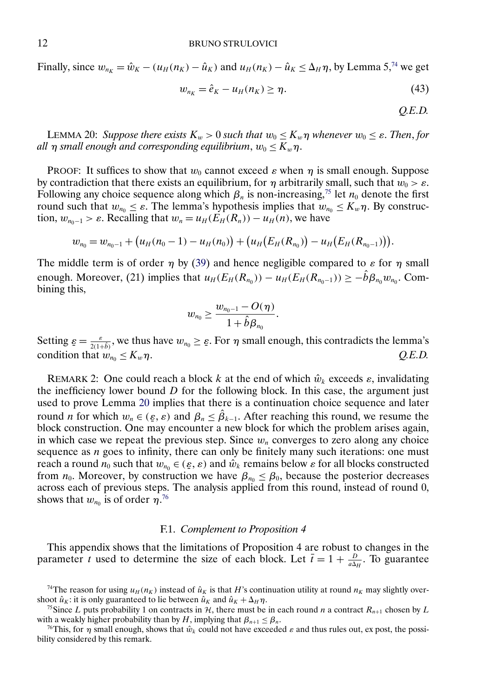<span id="page-11-0"></span>Finally, since  $w_{n_K} = \hat{w}_K - (u_H(n_K) - \hat{u}_K)$  and  $u_H(n_K) - \hat{u}_K \le \Delta_H \eta$ , by Lemma 5,<sup>74</sup> we get

$$
w_{n_K} = \hat{e}_K - u_H(n_K) \ge \eta. \tag{43}
$$

*Q.E.D.*

**LEMMA 20:** *Suppose there exists*  $K_w > 0$  *such that*  $w_0 \leq K_w \eta$  *whenever*  $w_0 \leq \varepsilon$ *. Then, for all*  $\eta$  *small enough and corresponding equilibrium,*  $w_0 \leq K_w \eta$ .

PROOF: It suffices to show that  $w_0$  cannot exceed  $\varepsilon$  when  $\eta$  is small enough. Suppose by contradiction that there exists an equilibrium, for  $\eta$  arbitrarily small, such that  $w_0 > \varepsilon$ . Following any choice sequence along which  $\beta_n$  is non-increasing,<sup>75</sup> let  $n_0$  denote the first round such that  $w_{n_0} \leq \varepsilon$ . The lemma's hypothesis implies that  $w_{n_0} \leq K_w \eta$ . By construction,  $w_{n_0-1} > \varepsilon$ . Recalling that  $w_n = u_H(E_H(R_n)) - u_H(n)$ , we have

$$
w_{n_0}=w_{n_0-1}+(u_H(n_0-1)-u_H(n_0))+(u_H(E_H(R_{n_0}))-u_H(E_H(R_{n_0-1}))).
$$

The middle term is of order  $\eta$  by [\(39\)](#page-8-0) and hence negligible compared to  $\varepsilon$  for  $\eta$  small enough. Moreover, (21) implies that  $u_H(E_H(R_{n_0})) - u_H(E_H(R_{n_0-1})) \geq -\hat{b}\beta_{n_0}w_{n_0}$ . Combining this,

$$
w_{n_0}\geq \frac{w_{n_0-1}-O(\eta)}{1+\hat{b}\beta_{n_0}}.
$$

Setting  $\varepsilon = \frac{\varepsilon}{2(1+\delta)}$ , we thus have  $w_{n_0} \ge \varepsilon$ . For  $\eta$  small enough, this contradicts the lemma's condition that  $w_{n_0} \le K_w \eta$ .  $Q.E.D.$ 

REMARK 2: One could reach a block k at the end of which  $\hat{w}_k$  exceeds  $\varepsilon$ , invalidating the inefficiency lower bound  $D$  for the following block. In this case, the argument just used to prove Lemma 20 implies that there is a continuation choice sequence and later round *n* for which  $w_n \in (\varepsilon, \varepsilon)$  and  $\beta_n \leq \hat{\beta}_{k-1}$ . After reaching this round, we resume the block construction. One may encounter a new block for which the problem arises again, in which case we repeat the previous step. Since  $w_n$  converges to zero along any choice sequence as *n* goes to infinity, there can only be finitely many such iterations: one must reach a round  $n_0$  such that  $w_{n_0} \in (\varepsilon, \varepsilon)$  and  $\hat{w}_k$  remains below  $\varepsilon$  for all blocks constructed from  $n_0$ . Moreover, by construction we have  $\beta_{n_0} \leq \beta_0$ , because the posterior decreases across each of previous steps. The analysis applied from this round, instead of round 0, shows that  $w_{n_0}$  is of order  $\eta$ .<sup>76</sup>

#### F.1. *Complement to Proposition 4*

This appendix shows that the limitations of Proposition 4 are robust to changes in the parameter t used to determine the size of each block. Let  $\bar{t} = 1 + \frac{D}{a\Delta_H}$ . To guarantee

<sup>&</sup>lt;sup>74</sup>The reason for using  $u_H(n_K)$  instead of  $\hat{u}_K$  is that H's continuation utility at round  $n_K$  may slightly overshoot  $\hat{u}_K$ : it is only guaranteed to lie between  $\hat{u}_K$  and  $\hat{u}_K + \Delta_H \eta$ .

<sup>&</sup>lt;sup>75</sup>Since L puts probability 1 on contracts in H, there must be in each round n a contract  $R_{n+1}$  chosen by L with a weakly higher probability than by H, implying that  $\beta_{n+1} \leq \beta_n$ .

<sup>&</sup>lt;sup>76</sup>This, for  $\eta$  small enough, shows that  $\hat{w}_k$  could not have exceeded  $\varepsilon$  and thus rules out, ex post, the possibility considered by this remark.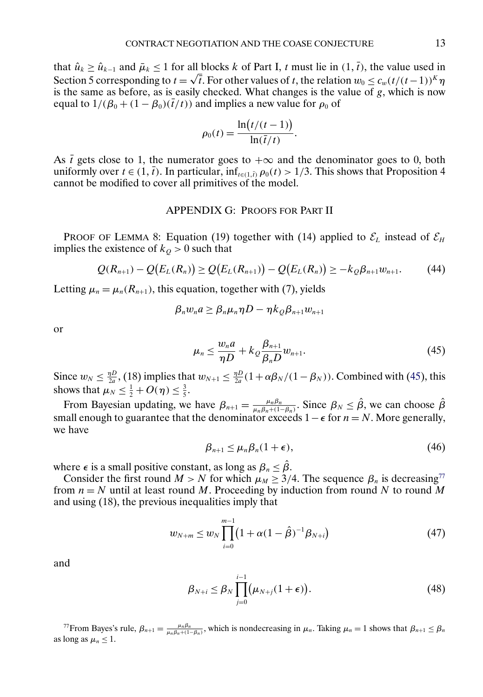<span id="page-12-0"></span>that  $\hat{u}_k \ge \hat{u}_{k-1}$  and  $\bar{\mu}_k \le 1$  for all blocks k of Part I, t must lie in  $(1, \bar{t})$ , the value used in that  $u_k \ge u_{k-1}$  and  $\mu_k \le 1$  for all blocks k of Part 1, t must lie in (1, t), the value used in<br>Section 5 corresponding to  $t = \sqrt{t}$ . For other values of t, the relation  $w_0 \le c_w (t/(t-1))^K \eta$ is the same as before, as is easily checked. What changes is the value of g, which is now equal to  $1/(\beta_0 + (1 - \beta_0)(\bar{t}/t))$  and implies a new value for  $\rho_0$  of

$$
\rho_0(t) = \frac{\ln\bigl(t/(t-1)\bigr)}{\ln(\overline{t}/t)}.
$$

As  $\bar{t}$  gets close to 1, the numerator goes to  $+\infty$  and the denominator goes to 0, both uniformly over  $t \in (1, \bar{t})$ . In particular, inf<sub>t∈(1, $\bar{p}$ </sub>  $\rho_0(t) > 1/3$ . This shows that Proposition 4 cannot be modified to cover all primitives of the model.

## APPENDIX G: PROOFS FOR PART II

PROOF OF LEMMA 8: Equation (19) together with (14) applied to  $\mathcal{E}_L$  instead of  $\mathcal{E}_H$ implies the existence of  $k<sub>Q</sub> > 0$  such that

$$
Q(R_{n+1}) - Q(E_L(R_n)) \ge Q(E_L(R_{n+1})) - Q(E_L(R_n)) \ge -k_Q \beta_{n+1} w_{n+1}.
$$
 (44)

Letting  $\mu_n = \mu_n(R_{n+1})$ , this equation, together with (7), yields

$$
\beta_n w_n a \geq \beta_n \mu_n \eta D - \eta k_{\mathcal{Q}} \beta_{n+1} w_{n+1}
$$

or

$$
\mu_n \leq \frac{w_n a}{\eta D} + k_{\mathcal{Q}} \frac{\beta_{n+1}}{\beta_n D} w_{n+1}.\tag{45}
$$

Since  $w_N \leq \frac{\eta D}{2a}$ , (18) implies that  $w_{N+1} \leq \frac{\eta D}{2a}(1+\alpha\beta_N/(1-\beta_N))$ . Combined with (45), this shows that  $\mu_N \leq \frac{1}{2} + O(\eta) \leq \frac{3}{5}$ .

From Bayesian updating, we have  $\beta_{n+1} = \frac{\mu_n \beta_n}{\mu_n \beta_n + (1 - \beta_n)}$ . Since  $\beta_N \leq \hat{\beta}$ , we can choose  $\hat{\beta}$ small enough to guarantee that the denominator exceeds  $1 - \epsilon$  for  $n = N$ . More generally, we have

$$
\beta_{n+1} \le \mu_n \beta_n (1 + \epsilon), \tag{46}
$$

where  $\epsilon$  is a small positive constant, as long as  $\beta_n \leq \beta$ .

Consider the first round  $M > N$  for which  $\mu_M \geq 3/4$ . The sequence  $\beta_n$  is decreasing<sup>77</sup> from  $n = N$  until at least round M. Proceeding by induction from round N to round M and using (18), the previous inequalities imply that

$$
w_{N+m} \le w_N \prod_{i=0}^{m-1} \left(1 + \alpha (1 - \hat{\beta})^{-1} \beta_{N+i}\right) \tag{47}
$$

and

$$
\beta_{N+i} \leq \beta_N \prod_{j=0}^{i-1} \left(\mu_{N+j}(1+\epsilon)\right). \tag{48}
$$

<sup>77</sup>From Bayes's rule,  $\beta_{n+1} = \frac{\mu_n \beta_n}{\mu_n \beta_n + (1 - \beta_n)}$ , which is nondecreasing in  $\mu_n$ . Taking  $\mu_n = 1$  shows that  $\beta_{n+1} \le \beta_n$ as long as  $\mu_n \leq 1$ .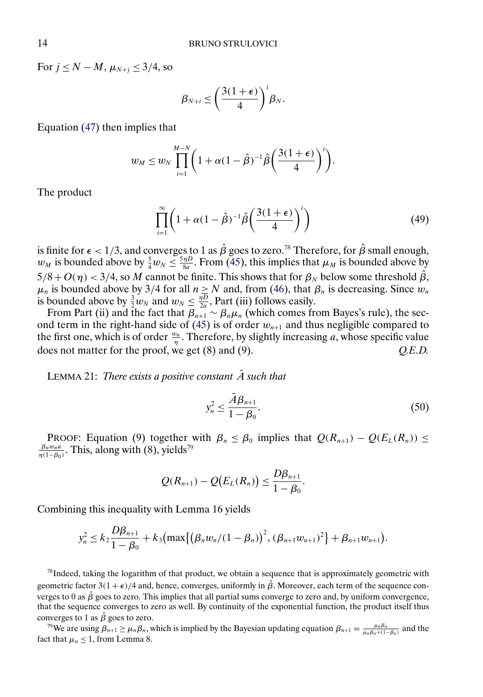<span id="page-13-0"></span>For  $j \leq N - M$ ,  $\mu_{N+i} \leq 3/4$ , so

$$
\beta_{N+i} \leq \left(\frac{3(1+\epsilon)}{4}\right)^i \beta_N.
$$

Equation [\(47\)](#page-12-0) then implies that

$$
w_M \leq w_N \prod_{i=1}^{M-N} \left(1 + \alpha(1-\hat{\beta})^{-1}\hat{\beta}\left(\frac{3(1+\epsilon)}{4}\right)^i\right).
$$

The product

$$
\prod_{i=1}^{\infty} \left( 1 + \alpha (1 - \hat{\beta})^{-1} \hat{\beta} \left( \frac{3(1 + \epsilon)}{4} \right)^i \right) \tag{49}
$$

is finite for  $\epsilon < 1/3$ , and converges to 1 as  $\hat{\beta}$  goes to zero.<sup>78</sup> Therefore, for  $\hat{\beta}$  small enough,  $w_M$  is bounded above by  $\frac{5}{4}w_N \leq \frac{5\eta D}{8a}$ . From [\(45\)](#page-12-0), this implies that  $\mu_M$  is bounded above by  $5/8 + O(\eta) < 3/4$ , so M cannot be finite. This shows that for  $\beta_N$  below some threshold  $\beta$ ,  $\mu_n$  is bounded above by 3/4 for all  $n \ge N$  and, from [\(46\)](#page-12-0), that  $\beta_n$  is decreasing. Since  $w_n$ is bounded above by  $\frac{3}{2}w_N$  and  $w_N \leq \frac{\eta D}{2a}$ , Part (iii) follows easily.

From Part (ii) and the fact that  $\beta_{n+1} \sim \beta_n \mu_n$  (which comes from Bayes's rule), the sec-ond term in the right-hand side of [\(45\)](#page-12-0) is of order  $w_{n+1}$  and thus negligible compared to the first one, which is of order  $\frac{w_n}{\eta}$ . Therefore, by slightly increasing a, whose specific value does not matter for the proof, we get (8) and (9). *Q.E.D.*

LEMMA 21: *There exists a positive constant A such that* 

$$
y_n^2 \le \frac{\bar{A}\beta_{n+1}}{1-\beta_0}.\tag{50}
$$

PROOF: Equation (9) together with  $\beta_n \leq \beta_0$  implies that  $Q(R_{n+1}) - Q(E_L(R_n)) \leq$  $\frac{\beta_n w_n a}{\eta(1-\beta_0)}$ . This, along with (8), yields<sup>79</sup>

$$
Q(R_{n+1})-Q(E_L(R_n))\leq \frac{D\beta_{n+1}}{1-\beta_0}.
$$

Combining this inequality with Lemma 16 yields

$$
y_n^2 \le k_2 \frac{D\beta_{n+1}}{1-\beta_0} + k_3 \bigl( \max \{ \bigl( \beta_n w_n / (1-\beta_n) \bigr)^2, (\beta_{n+1} w_{n+1})^2 \} + \beta_{n+1} w_{n+1} \bigr).
$$

 $78$ Indeed, taking the logarithm of that product, we obtain a sequence that is approximately geometric with geometric factor  $3(1+\epsilon)/4$  and, hence, converges, uniformly in  $\hat{\beta}$ . Moreover, each term of the sequence converges to 0 as  $\hat{\beta}$  goes to zero. This implies that all partial sums converge to zero and, by uniform convergence, that the sequence converges to zero as well. By continuity of the exponential function, the product itself thus converges to 1 as  $\hat{\beta}$  goes to zero.

<sup>79</sup>We are using  $\beta_{n+1} \ge \mu_n \beta_n$ , which is implied by the Bayesian updating equation  $\beta_{n+1} = \frac{\mu_n \beta_n}{\mu_n \beta_n + (1-\beta_n)}$  and the fact that  $\mu_n \leq 1$ , from Lemma 8.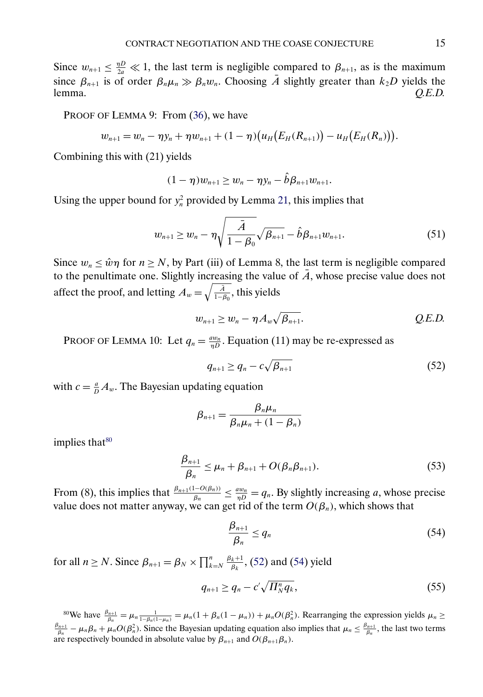<span id="page-14-0"></span>Since  $w_{n+1} \leq \frac{\eta D}{2a} \ll 1$ , the last term is negligible compared to  $\beta_{n+1}$ , as is the maximum since  $\beta_{n+1}$  is of order  $\beta_n \mu_n \gg \beta_n w_n$ . Choosing A slightly greater than  $k_2D$  yields the lemma. *Q.E.D.*

PROOF OF LEMMA 9: From [\(36\)](#page-6-0), we have

$$
w_{n+1} = w_n - \eta y_n + \eta w_{n+1} + (1 - \eta) (u_H(E_H(R_{n+1})) - u_H(E_H(R_n))).
$$

Combining this with (21) yields

$$
(1 - \eta)w_{n+1} \geq w_n - \eta y_n - \hat{b}\beta_{n+1}w_{n+1}.
$$

Using the upper bound for  $y_n^2$  provided by Lemma [21,](#page-13-0) this implies that

$$
w_{n+1} \geq w_n - \eta \sqrt{\frac{\bar{A}}{1 - \beta_0}} \sqrt{\beta_{n+1}} - \hat{b} \beta_{n+1} w_{n+1}.
$$
 (51)

Since  $w_n \leq \hat{w}\eta$  for  $n \geq N$ , by Part (iii) of Lemma 8, the last term is negligible compared to the penultimate one. Slightly increasing the value of  $\overline{A}$ , whose precise value does not affect the proof, and letting  $A_w = \sqrt{\frac{\bar{A}}{1-\bar{B}}}$  $\frac{A}{1-\beta_0}$ , this yields

$$
w_{n+1} \geq w_n - \eta A_w \sqrt{\beta_{n+1}}.
$$
 Q.E.D.

PROOF OF LEMMA 10: Let  $q_n = \frac{aw_n}{\eta D}$ . Equation (11) may be re-expressed as

$$
q_{n+1} \ge q_n - c\sqrt{\beta_{n+1}} \tag{52}
$$

with  $c = \frac{a}{D} A_w$ . The Bayesian updating equation

$$
\beta_{n+1} = \frac{\beta_n \mu_n}{\beta_n \mu_n + (1 - \beta_n)}
$$

implies that $80$ 

$$
\frac{\beta_{n+1}}{\beta_n} \le \mu_n + \beta_{n+1} + O(\beta_n \beta_{n+1}). \tag{53}
$$

From (8), this implies that  $\frac{\beta_{n+1}(1-O(\beta_n))}{\beta_n} \leq \frac{aw_n}{n} = q_n$ . By slightly increasing a, whose precise value does not matter anyway, we can get rid of the term  $O(\beta_n)$ , which shows that

$$
\frac{\beta_{n+1}}{\beta_n} \le q_n \tag{54}
$$

for all  $n \ge N$ . Since  $\beta_{n+1} = \beta_N \times \prod_{k=N}^n \frac{\beta_k+1}{\beta_k}$ , (52) and (54) yield

$$
q_{n+1} \ge q_n - c' \sqrt{\prod_{N}^{n} q_k}, \qquad (55)
$$

<sup>80</sup>We have  $\frac{\beta_{n+1}}{\beta_n} = \mu_n \frac{1}{1-\beta_n(1-\mu_n)} = \mu_n(1+\beta_n(1-\mu_n)) + \mu_n O(\beta_n^2)$ . Rearranging the expression yields  $\mu_n \ge$  $\frac{\beta_{n+1}}{\beta_n} - \mu_n \beta_n + \mu_n O(\beta_n^2)$ . Since the Bayesian updating equation also implies that  $\mu_n \le \frac{\beta_{n+1}}{\beta_n}$ , the last two terms are respectively bounded in absolute value by  $\beta_{n+1}$  and  $O(\beta_{n+1}\beta_n)$ .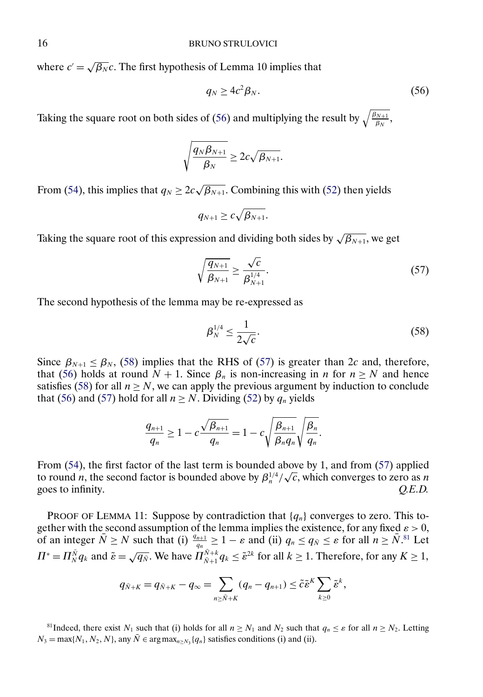where  $c' = \sqrt{\beta_N}c$ . The first hypothesis of Lemma 10 implies that

$$
q_N \ge 4c^2 \beta_N. \tag{56}
$$

Taking the square root on both sides of (56) and multiplying the result by  $\sqrt{\frac{\beta_{N+1}}{\beta_N}}$ ,

$$
\sqrt{\frac{q_N\beta_{N+1}}{\beta_N}}\geq 2c\sqrt{\beta_{N+1}}.
$$

From [\(54\)](#page-14-0), this implies that  $q_N \geq 2c\sqrt{\beta_{N+1}}$ . Combining this with [\(52\)](#page-14-0) then yields

$$
q_{N+1}\geq c\sqrt{\beta_{N+1}}.
$$

Taking the square root of this expression and dividing both sides by  $\sqrt{\beta_{N+1}}$ , we get

$$
\sqrt{\frac{q_{N+1}}{\beta_{N+1}}} \ge \frac{\sqrt{c}}{\beta_{N+1}^{1/4}}.\tag{57}
$$

The second hypothesis of the lemma may be re-expressed as

$$
\beta_N^{1/4} \le \frac{1}{2\sqrt{c}}.\tag{58}
$$

Since  $\beta_{N+1} \leq \beta_N$ , (58) implies that the RHS of (57) is greater than 2c and, therefore, that (56) holds at round  $N + 1$ . Since  $\beta_n$  is non-increasing in n for  $n \ge N$  and hence satisfies (58) for all  $n \geq N$ , we can apply the previous argument by induction to conclude that (56) and (57) hold for all  $n \geq N$ . Dividing [\(52\)](#page-14-0) by  $q_n$  yields

$$
\frac{q_{n+1}}{q_n} \ge 1 - c \frac{\sqrt{\beta_{n+1}}}{q_n} = 1 - c \sqrt{\frac{\beta_{n+1}}{\beta_n q_n}} \sqrt{\frac{\beta_n}{q_n}}.
$$

From [\(54\)](#page-14-0), the first factor of the last term is bounded above by 1, and from (57) applied From (34), the first factor of the fast term is bounded above by 1, and from (37) applied<br>to round *n*, the second factor is bounded above by  $\beta_n^{1/4}/\sqrt{c}$ , which converges to zero as *n* goes to infinity.  $Q.E.D.$ 

PROOF OF LEMMA 11: Suppose by contradiction that  $\{q_n\}$  converges to zero. This together with the second assumption of the lemma implies the existence, for any fixed  $\varepsilon > 0$ , of an integer  $\bar{N} \ge N$  such that (i)  $\frac{q_{n+1}}{q_n} \ge 1 - \varepsilon$  and (ii)  $q_n \le q_{\bar{N}} \le \varepsilon$  for all  $n \ge \bar{N}$ .<sup>81</sup> Let  $\Pi^* = \Pi_N^{\bar{N}} q_k$  and  $\tilde{\varepsilon} = \sqrt{q_N}$ . We have  $\Pi_{N+1}^{\bar{N}+k} q_k \leq \tilde{\varepsilon}^{2k}$  for all  $k \geq 1$ . Therefore, for any  $K \geq 1$ ,

$$
q_{\bar{N}+K}=q_{\bar{N}+K}-q_{\infty}=\sum_{n\geq \bar{N}+K}(q_n-q_{n+1})\leq \tilde{c}\tilde{\epsilon}^K\sum_{k\geq 0}\tilde{\epsilon}^k,
$$

<sup>81</sup>Indeed, there exist N<sub>1</sub> such that (i) holds for all  $n \ge N_1$  and N<sub>2</sub> such that  $q_n \le \varepsilon$  for all  $n \ge N_2$ . Letting  $N_3 = \max\{N_1, N_2, N\}$ , any  $\overline{N} \in \arg\max_{n \geq N_3} \{q_n\}$  satisfies conditions (i) and (ii).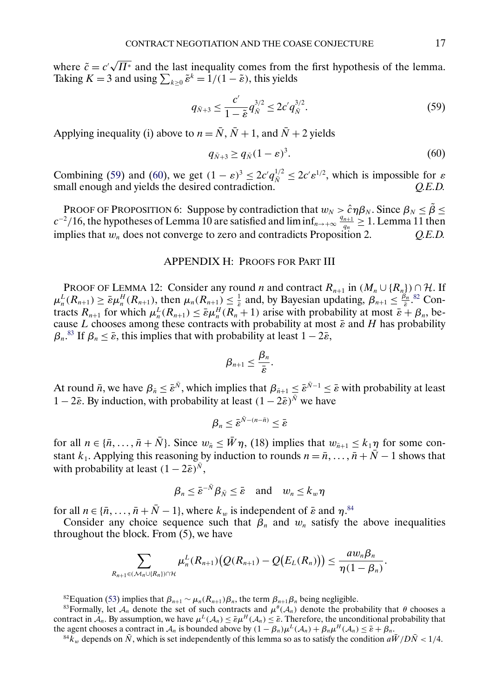where  $\tilde{c} = c'$ √  $\Pi^*$  and the last inequality comes from the first hypothesis of the lemma. Taking  $K = 3$  and using  $\sum_{k \geq 0} \tilde{\varepsilon}^k = 1/(1 - \tilde{\varepsilon})$ , this yields

$$
q_{\bar{N}+3} \le \frac{c'}{1-\tilde{\varepsilon}} q_{\bar{N}}^{3/2} \le 2c' q_{\bar{N}}^{3/2}.
$$
 (59)

Applying inequality (i) above to  $n = \overline{N}$ ,  $\overline{N} + 1$ , and  $\overline{N} + 2$  yields

$$
q_{\bar{N}+3} \ge q_{\bar{N}} (1 - \varepsilon)^3. \tag{60}
$$

Combining (59) and (60), we get  $(1 - \varepsilon)^3 \leq 2c' q_{\overline{N}}^{1/2} \leq 2c' \varepsilon^{1/2}$ , which is impossible for  $\varepsilon$ small enough and yields the desired contradiction.  $Q.E.D.$ 

PROOF OF PROPOSITION 6: Suppose by contradiction that  $w_N > \hat{c}\eta\beta_N$ . Since  $\beta_N \leq \tilde{\beta} \leq$  $c^{-2}/16$ , the hypotheses of Lemma 10 are satisfied and  $\liminf_{n\to+\infty}\frac{q_{n+1}}{q_n}\geq 1$ . Lemma 11 then implies that  $w_n$  does not converge to zero and contradicts Proposition 2.  $Q.E.D.$ 

### APPENDIX H: PROOFS FOR PART III

PROOF OF LEMMA 12: Consider any round n and contract  $R_{n+1}$  in  $(M_n \cup \{R_n\}) \cap \mathcal{H}$ . If  $\mu_n^L(R_{n+1}) \ge \bar{\varepsilon}\mu_n^H(R_{n+1}),$  then  $\mu_n(R_{n+1}) \le \frac{1}{\bar{\varepsilon}}$  and, by Bayesian updating,  $\beta_{n+1} \le \frac{\beta_n}{\bar{\varepsilon}}$ .<sup>82</sup> Contracts  $R_{n+1}$  for which  $\mu_n^L(R_{n+1}) \leq \bar{\varepsilon}\mu_n^H(R_n+1)$  arise with probability at most  $\bar{\varepsilon} + \beta_n$ , because L chooses among these contracts with probability at most  $\bar{\varepsilon}$  and H has probability  $\beta_n$ .<sup>83</sup> If  $\beta_n \leq \bar{\varepsilon}$ , this implies that with probability at least  $1 - 2\bar{\varepsilon}$ ,

$$
\beta_{n+1}\leq \frac{\beta_n}{\bar{\varepsilon}}.
$$

At round  $\bar{n}$ , we have  $\beta_{\bar{n}} \le \bar{\varepsilon}^{\bar{N}}$ , which implies that  $\beta_{\bar{n}+1} \le \bar{\varepsilon}^{\bar{N}-1} \le \bar{\varepsilon}$  with probability at least 1 − 2 $\bar{\epsilon}$ . By induction, with probability at least  $(1 - 2\bar{\epsilon})^{\bar{N}}$  we have

$$
\beta_n \leq \bar{\varepsilon}^{\bar{N}-(n-\bar{n})} \leq \bar{\varepsilon}
$$

for all  $n \in {\overline{n}, \ldots, \overline{n} + \overline{N}}$ . Since  $w_{\overline{n}} \leq \overline{W} \eta$ , (18) implies that  $w_{\overline{n}+1} \leq k_1 \eta$  for some constant k<sub>1</sub>. Applying this reasoning by induction to rounds  $n = \overline{n}, \ldots, \overline{n} + \overline{N} - 1$  shows that with probability at least  $(1 - 2\bar{\varepsilon})^{\bar{N}}$ ,

$$
\beta_n \leq \bar{\varepsilon}^{-\bar{N}} \beta_{\bar{N}} \leq \bar{\varepsilon} \quad \text{and} \quad w_n \leq k_w \eta
$$

for all  $n \in {\overline{n}, \ldots, \overline{n} + \overline{N} - 1}$ , where  $k_w$  is independent of  $\overline{\varepsilon}$  and  $\eta$ .<sup>84</sup>

Consider any choice sequence such that  $\beta_n$  and  $w_n$  satisfy the above inequalities throughout the block. From (5), we have

$$
\sum_{R_{n+1}\in(\mathcal{M}_n\cup(R_n)\cap\mathcal{H}}\mu_n^L(R_{n+1})\big(Q(R_{n+1})-Q\big(E_L(R_n)\big)\big)\leq \frac{aw_n\beta_n}{\eta(1-\beta_n)}.
$$

<sup>82</sup>Equation [\(53\)](#page-14-0) implies that  $\beta_{n+1} \sim \mu_n(R_{n+1})\beta_n$ , the term  $\beta_{n+1}\beta_n$  being negligible.

<sup>83</sup>Formally, let  $A_n$  denote the set of such contracts and  $\mu^{\theta}(\mathcal{A}_n)$  denote the probability that  $\theta$  chooses a contract in  $\mathcal{A}_n$ . By assumption, we have  $\mu^L(\mathcal{A}_n) \leq \bar{\epsilon} \mu^H(\mathcal{A}_n) \leq \bar{\epsilon}$ . Therefore, the unconditional probability that the agent chooses a contract in  $\mathcal{A}_n$  is bounded above by  $(1 - \beta_n)\mu^L(\mathcal{A}_n) + \beta_n$ 

<sup>84</sup> $k_w$  depends on  $\bar{N}$ , which is set independently of this lemma so as to satisfy the condition  $a\bar{W}/D\bar{N} < 1/4$ .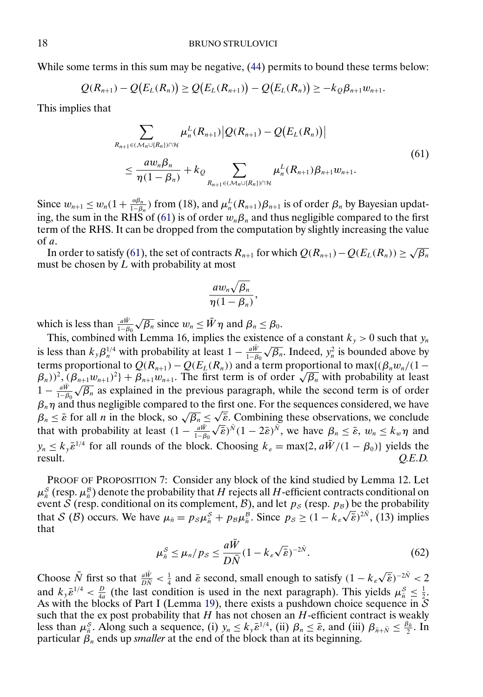While some terms in this sum may be negative, [\(44\)](#page-12-0) permits to bound these terms below:

$$
Q(R_{n+1}) - Q(E_L(R_n)) \ge Q(E_L(R_{n+1})) - Q(E_L(R_n)) \ge -k_Q \beta_{n+1} w_{n+1}.
$$

This implies that

$$
\sum_{R_{n+1}\in(\mathcal{M}_n\cup(R_n))\cap\mathcal{H}}\mu_n^L(R_{n+1})\big|Q(R_{n+1})-Q(E_L(R_n))\big|\\ \leq \frac{aw_n\beta_n}{\eta(1-\beta_n)}+k_{\mathcal{Q}}\sum_{R_{n+1}\in(\mathcal{M}_n\cup(R_n))\cap\mathcal{H}}\mu_n^L(R_{n+1})\beta_{n+1}w_{n+1}.
$$
\n(61)

Since  $w_{n+1} \leq w_n(1+\frac{\alpha\beta_n}{1-\beta_n})$  from (18), and  $\mu_n^L(R_{n+1})\beta_{n+1}$  is of order  $\beta_n$  by Bayesian updating, the sum in the RHS of (61) is of order  $w_n\beta_n$  and thus negligible compared to the first term of the RHS. It can be dropped from the computation by slightly increasing the value of a.

In order to satisfy (61), the set of contracts  $R_{n+1}$  for which  $Q(R_{n+1}) - Q(E_L(R_n)) \ge \sqrt{\beta_n}$ must be chosen by  $L$  with probability at most

$$
\frac{aw_n\sqrt{\beta_n}}{\eta(1-\beta_n)},
$$

which is less than  $\frac{a\bar{W}}{1-\beta_0}\sqrt{\beta_n}$  since  $w_n \leq \bar{W}\eta$  and  $\beta_n \leq \beta_0$ .

This, combined with Lemma 16, implies the existence of a constant  $k_y > 0$  such that  $y_n$ is less than  $k_y \beta_n^{1/4}$  with probability at least  $1 - \frac{a\bar{w}}{1-\beta_0}\sqrt{\beta_n}$ . Indeed,  $y_n^2$  is bounded above by terms proportional to  $Q(R_{n+1}) - Q(E_L(R_n))$  and a term proportional to max $\{(\beta_n w_n/(1-\alpha_n))^2\}$ terms proportional to  $Q(K_{n+1}) - Q(E_L(K_n))$  and a term proportional to max $\{(\beta_n w_n/(1 - \beta_n))^2, (\beta_{n+1}w_{n+1})^2\} + \beta_{n+1}w_{n+1}$ . The first term is of order  $\sqrt{\beta_n}$  with probability at least  $(1 - \frac{a\bar{W}}{1-\beta_0}\sqrt{\beta_n}$  as explained in the previous paragraph, while the second term is of order  $\beta_n \eta$  and thus negligible compared to the first one. For the sequences considered, we have  $\beta_n$  and thus negligible compared to the first one. For the sequences considered, we have  $\beta_n \leq \bar{\varepsilon}$  for all *n* in the block, so  $\sqrt{\beta_n} \leq \sqrt{\bar{\varepsilon}}$ . Combining these observations, we conclude  $\beta_n \leq \varepsilon$  for an *n* in the block, so  $\sqrt{\beta_n} \leq \sqrt{\varepsilon}$ . Combining these observations, we conclude that with probability at least  $(1 - \frac{a\bar{W}}{1-\beta_0}\sqrt{\bar{\varepsilon}})^{\bar{N}}(1-2\bar{\varepsilon})^{\bar{N}}$ , we have  $\beta_n \leq \bar{\varepsilon}$ ,  $w_n \leq k_w$  $y_n \le k_y \bar{\varepsilon}^{1/4}$  for all rounds of the block. Choosing  $k_{\varepsilon} = \max\{2, a\bar{W}/(1 - \beta_0)\}\$  yields the result.  $O.E.D.$ result. *Q.E.D.*

PROOF OF PROPOSITION 7: Consider any block of the kind studied by Lemma 12. Let  $\mu_{\bar{n}}^{S}$  (resp.  $\mu_{\bar{n}}^{B}$ ) denote the probability that H rejects all H-efficient contracts conditional on event S (resp. conditional on its complement, B), and let  $p_S$  (resp.  $p_B$ ) be the probability Event S (resp. conditional on its complement, B), and let  $p_S$  (resp.  $p_B$ ) be the probability<br>that S (B) occurs. We have  $\mu_{\bar{n}} = p_S \mu_{\bar{n}}^S + p_B \mu_{\bar{n}}^B$ . Since  $p_S \ge (1 - k_s \sqrt{\bar{\epsilon}})^{2\bar{N}}$ , (13) implies that

$$
\mu_{\bar{n}}^{S} \le \mu_{n}/p_{S} \le \frac{a\bar{W}}{D\bar{N}}(1 - k_{s}\sqrt{\bar{\varepsilon}})^{-2\bar{N}}.
$$
\n(62)

Choose  $\overline{N}$  first so that  $\frac{a\overline{W}}{D\overline{N}} < \frac{1}{4}$  and  $\overline{\varepsilon}$  second, small enough to satisfy  $(1 - k_{\varepsilon}\sqrt{\overline{\varepsilon}})^{-2\overline{N}} < 2$ and  $k_y \bar{\epsilon}^{1/4} < \frac{D}{4a}$  (the last condition is used in the next paragraph). This yields  $\mu_{\bar{n}}^S \le \frac{1}{2}$ . As with the blocks of Part I (Lemma [19\)](#page-10-0), there exists a pushdown choice sequence in  $S$ such that the ex post probability that  $H$  has not chosen an  $H$ -efficient contract is weakly less than  $\mu_{\bar{n}}^S$ . Along such a sequence, (i)  $y_n \le k_y \bar{\varepsilon}^{1/4}$ , (ii)  $\beta_n \le \bar{\varepsilon}$ , and (iii)  $\beta_{\bar{n}+\bar{N}} \le \frac{\beta_{\bar{n}}}{2}$ . In particular  $\beta_n$  ends up *smaller* at the end of the block than at its beginning.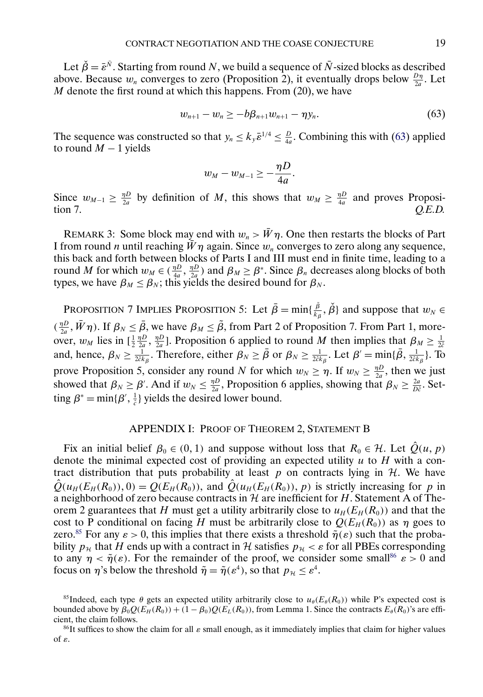Let  $\check{\beta} = \bar{\varepsilon}^{\bar{N}}$ . Starting from round N, we build a sequence of  $\bar{N}$ -sized blocks as described above. Because  $w_n$  converges to zero (Proposition 2), it eventually drops below  $\frac{D\eta}{2a}$ . Let  $M$  denote the first round at which this happens. From  $(20)$ , we have

$$
w_{n+1} - w_n \geq -b\beta_{n+1}w_{n+1} - \eta y_n. \tag{63}
$$

The sequence was constructed so that  $y_n \le k_y \bar{\varepsilon}^{1/4} \le \frac{D}{4a}$ . Combining this with (63) applied to round  $M - 1$  yields

$$
w_M-w_{M-1}\geq -\frac{\eta D}{4a}.
$$

Since  $w_{M-1} \geq \frac{\eta D}{2a}$  by definition of M, this shows that  $w_M \geq \frac{\eta D}{4a}$  and proves Proposition 7. *Q.E.D.*

REMARK 3: Some block may end with  $w_n > \bar{W}\eta$ . One then restarts the blocks of Part I from round *n* until reaching  $W\eta$  again. Since  $w_n$  converges to zero along any sequence, this back and forth between blocks of Parts I and III must end in finite time, leading to a round M for which  $w_M \in (\frac{\eta D}{4a}, \frac{\eta D}{2a})$  and  $\beta_M \ge \beta^*$ . Since  $\beta_n$  decreases along blocks of both types, we have  $\beta_M \leq \beta_N$ ; this yields the desired bound for  $\beta_N$ .

PROPOSITION 7 IMPLIES PROPOSITION 5: Let  $\bar{\beta} = \min\{\frac{\tilde{\beta}}{k_{\beta}}, \tilde{\beta}\}\$  and suppose that  $w_N \in$  $(\frac{\eta D}{2a}, \bar{W}\eta)$ . If  $\beta_N \leq \bar{\beta}$ , we have  $\beta_M \leq \tilde{\beta}$ , from Part 2 of Proposition 7. From Part 1, moreover,  $w_M$  lies in  $[\frac{1}{2}]$  $\frac{\eta D}{2a}$ ,  $\frac{\eta D}{2a}$ ]. Proposition 6 applied to round M then implies that  $\beta_M \geq \frac{1}{2c}$ and, hence,  $\beta_N \ge \frac{1}{2c k_\beta}$ . Therefore, either  $\beta_N \ge \bar{\beta}$  or  $\beta_N \ge \frac{1}{2c k_\beta}$ . Let  $\beta' = \min{\{\bar{\beta}, \frac{1}{2c k_\beta}\}}$ . To prove Proposition 5, consider any round N for which  $w_N \ge \eta$ . If  $w_N \ge \frac{\eta D}{2a}$ , then we just showed that  $\beta_N \ge \beta'$ . And if  $w_N \le \frac{\eta D}{2a}$ , Proposition 6 applies, showing that  $\beta_N \ge \frac{2a}{D\hat{c}}$ . Setting  $\beta^* = \min{\{\beta', \frac{1}{\hat{c}}\}}$  yields the desired lower bound.

### APPENDIX I: PROOF OF THEOREM 2, STATEMENT B

Fix an initial belief  $\beta_0 \in (0, 1)$  and suppose without loss that  $R_0 \in \mathcal{H}$ . Let  $\hat{Q}(u, p)$ denote the minimal expected cost of providing an expected utility  $u$  to  $H$  with a contract distribution that puts probability at least p on contracts lying in  $H$ . We have  $\hat{Q}(u_H(E_H(R_0)), 0) = Q(E_H(R_0)),$  and  $\hat{Q}(u_H(E_H(R_0)), p)$  is strictly increasing for p in a neighborhood of zero because contracts in  $H$  are inefficient for H. Statement A of Theorem 2 guarantees that H must get a utility arbitrarily close to  $u_H (E_H (R_0))$  and that the cost to P conditional on facing H must be arbitrarily close to  $Q(E_H(R_0))$  as  $\eta$  goes to zero.<sup>85</sup> For any  $\varepsilon > 0$ , this implies that there exists a threshold  $\tilde{\eta}(\varepsilon)$  such that the probability  $p_{\mathcal{H}}$  that H ends up with a contract in H satisfies  $p_{\mathcal{H}} < \varepsilon$  for all PBEs corresponding to any  $\eta < \tilde{\eta}(\varepsilon)$ . For the remainder of the proof, we consider some small<sup>86</sup>  $\varepsilon > 0$  and focus on  $\eta$ 's below the threshold  $\tilde{\eta} = \tilde{\eta}(\varepsilon^4)$ , so that  $p_{\mathcal{H}} \leq \varepsilon^4$ .

<sup>&</sup>lt;sup>85</sup>Indeed, each type  $\theta$  gets an expected utility arbitrarily close to  $u_{\theta}(E_{\theta}(R_0))$  while P's expected cost is bounded above by  $\beta_0 Q(E_H(R_0)) + (1 - \beta_0) Q(E_L(R_0))$ , from Lemma 1. Since the contracts  $E_\theta(R_0)$ 's are efficient, the claim follows.

<sup>&</sup>lt;sup>86</sup>It suffices to show the claim for all  $\varepsilon$  small enough, as it immediately implies that claim for higher values of ε.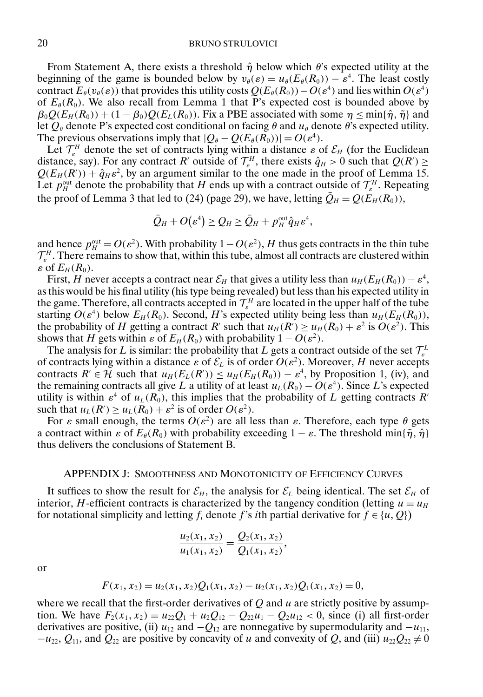## 20 BRUNO STRULOVICI

From Statement A, there exists a threshold  $\hat{\eta}$  below which  $\theta$ 's expected utility at the beginning of the game is bounded below by  $v_{\theta}(\varepsilon) = u_{\theta}(E_{\theta}(R_0)) - \varepsilon^4$ . The least costly contract  $E_\theta(v_\theta(\varepsilon))$  that provides this utility costs  $Q(E_\theta(R_0)) - O(\varepsilon^4)$  and lies within  $O(\varepsilon^4)$ of  $E_{\theta}(R_0)$ . We also recall from Lemma 1 that P's expected cost is bounded above by  $\beta_0 Q(E_H(R_0)) + (1 - \beta_0) Q(E_L(R_0))$ . Fix a PBE associated with some  $\eta \le \min{\{\hat{\eta}, \tilde{\eta}\}}$  and let  $Q_{\theta}$  denote P's expected cost conditional on facing  $\theta$  and  $u_{\theta}$  denote  $\theta$ 's expected utility. The previous observations imply that  $|Q_{\theta} - Q(E_{\theta}(R_0))| = O(\varepsilon^4)$ .

Let  $\mathcal{T}_{\varepsilon}^H$  denote the set of contracts lying within a distance  $\varepsilon$  of  $\mathcal{E}_H$  (for the Euclidean distance, say). For any contract R' outside of  $\mathcal{T}_s^H$ , there exists  $\hat{q}_H > 0$  such that  $Q(R') \ge$  $Q(E_H(R')) + \hat{q}_H \varepsilon^2$ , by an argument similar to the one made in the proof of Lemma 15. Let  $p_H^{\text{out}}$  denote the probability that H ends up with a contract outside of  $\mathcal{T}_{\varepsilon}^H$ . Repeating the proof of Lemma 3 that led to (24) (page 29), we have, letting  $\overline{Q}_H = Q(E_H(R_0)),$ 

$$
\bar{Q}_H+O(\varepsilon^4)\geq Q_H\geq \bar{Q}_H+p_H^{\text{out}}\hat{q}_H\varepsilon^4,
$$

and hence  $p_H^{\text{out}} = O(\varepsilon^2)$ . With probability  $1 - O(\varepsilon^2)$ , H thus gets contracts in the thin tube  $\mathcal{T}_{\varepsilon}^H$ . There remains to show that, within this tube, almost all contracts are clustered within  $\varepsilon$  of  $E_H(R_0)$ .

First, H never accepts a contract near  $\mathcal{E}_H$  that gives a utility less than  $u_H(E_H(R_0)) - \varepsilon^4$ , as this would be his final utility (his type being revealed) but less than his expected utility in the game. Therefore, all contracts accepted in  $\mathcal{T}_{\varepsilon}^H$  are located in the upper half of the tube starting  $O(\varepsilon^4)$  below  $E_H(R_0)$ . Second, H's expected utility being less than  $u_H(E_H(R_0))$ , the probability of H getting a contract R' such that  $u_H(R') \ge u_H(R_0) + \varepsilon^2$  is  $O(\varepsilon^2)$ . This shows that H gets within  $\varepsilon$  of  $E_H(R_0)$  with probability  $1 - O(\varepsilon^2)$ .

The analysis for L is similar: the probability that L gets a contract outside of the set  $\mathcal{T}_{\varepsilon}^L$ of contracts lying within a distance  $\varepsilon$  of  $\mathcal{E}_L$  is of order  $O(\varepsilon^2)$ . Moreover, H never accepts contracts  $R' \in \mathcal{H}$  such that  $u_H(E_L(R')) \leq u_H(E_H(R_0)) - \varepsilon^4$ , by Proposition 1, (iv), and the remaining contracts all give L a utility of at least  $u_L(R_0) - O(\varepsilon^4)$ . Since L's expected utility is within  $\varepsilon^4$  of  $u_L(R_0)$ , this implies that the probability of L getting contracts R' such that  $u_L(R') \ge u_L(R_0) + \varepsilon^2$  is of order  $O(\varepsilon^2)$ .

For  $\varepsilon$  small enough, the terms  $O(\varepsilon^2)$  are all less than  $\varepsilon$ . Therefore, each type  $\theta$  gets a contract within  $\varepsilon$  of  $E_{\theta}(R_0)$  with probability exceeding  $1 - \varepsilon$ . The threshold min{ $\tilde{\eta}$ ,  $\hat{\eta}$ } thus delivers the conclusions of Statement B.

#### APPENDIX J: SMOOTHNESS AND MONOTONICITY OF EFFICIENCY CURVES

It suffices to show the result for  $\mathcal{E}_H$ , the analysis for  $\mathcal{E}_L$  being identical. The set  $\mathcal{E}_H$  of interior, H-efficient contracts is characterized by the tangency condition (letting  $u = u_H$ ) for notational simplicity and letting  $f_i$  denote f's ith partial derivative for  $f \in \{u, Q\}$ 

$$
\frac{u_2(x_1, x_2)}{u_1(x_1, x_2)} = \frac{Q_2(x_1, x_2)}{Q_1(x_1, x_2)},
$$

or

$$
F(x_1, x_2) = u_2(x_1, x_2)Q_1(x_1, x_2) - u_2(x_1, x_2)Q_1(x_1, x_2) = 0,
$$

where we recall that the first-order derivatives of  $Q$  and  $u$  are strictly positive by assumption. We have  $F_2(x_1, x_2) = u_{22}Q_1 + u_2Q_{12} - Q_2u_1 - Q_2u_{12} < 0$ , since (i) all first-order derivatives are positive, (ii)  $u_{12}$  and  $-Q_{12}$  are nonnegative by supermodularity and  $-u_{11}$ ,  $-u_{22}, Q_{11}$ , and  $Q_{22}$  are positive by concavity of u and convexity of Q, and (iii)  $u_{22}Q_{22} \neq 0$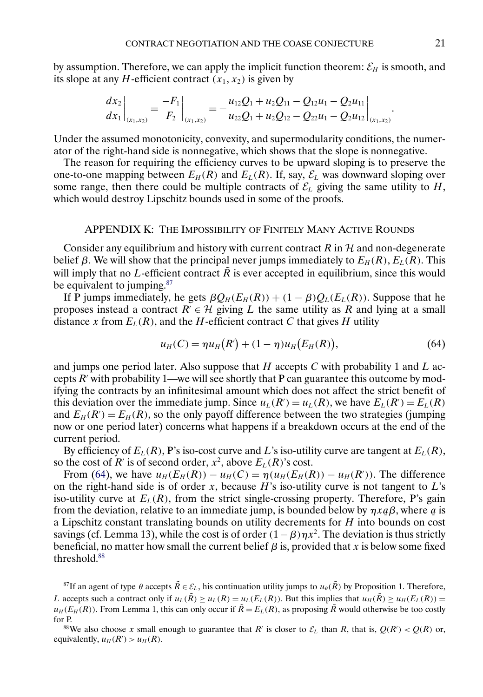<span id="page-20-0"></span>by assumption. Therefore, we can apply the implicit function theorem:  $\mathcal{E}_H$  is smooth, and its slope at any *H*-efficient contract  $(x_1, x_2)$  is given by

$$
\left. \frac{dx_2}{dx_1} \right|_{(x_1, x_2)} = \left. \frac{-F_1}{F_2} \right|_{(x_1, x_2)} = -\frac{u_{12}Q_1 + u_2Q_{11} - Q_{12}u_1 - Q_2u_{11}}{u_{22}Q_1 + u_2Q_{12} - Q_{22}u_1 - Q_2u_{12}} \right|_{(x_1, x_2)}
$$

Under the assumed monotonicity, convexity, and supermodularity conditions, the numerator of the right-hand side is nonnegative, which shows that the slope is nonnegative.

The reason for requiring the efficiency curves to be upward sloping is to preserve the one-to-one mapping between  $E_H(R)$  and  $E_L(R)$ . If, say,  $\mathcal{E}_L$  was downward sloping over some range, then there could be multiple contracts of  $\mathcal{E}_L$  giving the same utility to  $H$ , which would destroy Lipschitz bounds used in some of the proofs.

### APPENDIX K: THE IMPOSSIBILITY OF FINITELY MANY ACTIVE ROUNDS

Consider any equilibrium and history with current contract R in  $H$  and non-degenerate belief  $\beta$ . We will show that the principal never jumps immediately to  $E_H(R)$ ,  $E_L(R)$ . This will imply that no L-efficient contract  $\tilde{R}$  is ever accepted in equilibrium, since this would be equivalent to jumping.<sup>87</sup>

If P jumps immediately, he gets  $\beta Q_H(E_H(R)) + (1 - \beta)Q_L(E_L(R))$ . Suppose that he proposes instead a contract  $R \in \mathcal{H}$  giving L the same utility as R and lying at a small distance x from  $E_L(R)$ , and the H-efficient contract C that gives H utility

$$
u_H(C) = \eta u_H(R') + (1 - \eta) u_H(E_H(R)), \tag{64}
$$

and jumps one period later. Also suppose that  $H$  accepts  $C$  with probability 1 and  $L$  accepts  $R'$  with probability 1—we will see shortly that P can guarantee this outcome by modifying the contracts by an infinitesimal amount which does not affect the strict benefit of this deviation over the immediate jump. Since  $u_L(R') = u_L(R)$ , we have  $E_L(R') = E_L(R)$ and  $E_H(R') = E_H(R)$ , so the only payoff difference between the two strategies (jumping now or one period later) concerns what happens if a breakdown occurs at the end of the current period.

By efficiency of  $E_L(R)$ , P's iso-cost curve and L's iso-utility curve are tangent at  $E_L(R)$ , so the cost of R' is of second order,  $x^2$ , above  $E_L(R)$ 's cost.

From (64), we have  $u_H(E_H(R)) - u_H(C) = \eta(u_H(E_H(R)) - u_H(R'))$ . The difference on the right-hand side is of order x, because  $H$ 's iso-utility curve is not tangent to  $L$ 's iso-utility curve at  $E_L(R)$ , from the strict single-crossing property. Therefore, P's gain from the deviation, relative to an immediate jump, is bounded below by  $\eta x \underline{a} \beta$ , where  $\underline{a}$  is<br>a Linschitz constant translating bounds on utility decrements for H into bounds on cost a Lipschitz constant translating bounds on utility decrements for  $H$  into bounds on cost savings (cf. Lemma 13), while the cost is of order  $(1 - \beta)\eta x^2$ . The deviation is thus strictly beneficial, no matter how small the current belief  $\beta$  is, provided that x is below some fixed threshold.<sup>88</sup>

<sup>87</sup>If an agent of type  $\theta$  accepts  $\tilde{R} \in \mathcal{E}_L$ , his continuation utility jumps to  $u_{\theta}(\tilde{R})$  by Proposition 1. Therefore, L accepts such a contract only if  $u_L(\tilde{R}) \ge u_L(R) = u_L(E_L(R))$ . But this implies that  $u_H(\tilde{R}) \ge u_H(E_L(R))$  $u_H(E_H(R))$ . From Lemma 1, this can only occur if  $\tilde{R} = E_L(R)$ , as proposing  $\tilde{R}$  would otherwise be too costly for P.

<sup>88</sup>We also choose x small enough to guarantee that R' is closer to  $\mathcal{E}_L$  than R, that is,  $Q(R') < Q(R)$  or, equivalently,  $u_H(R') > u_H(R)$ .

 $\ddot{\phantom{0}}$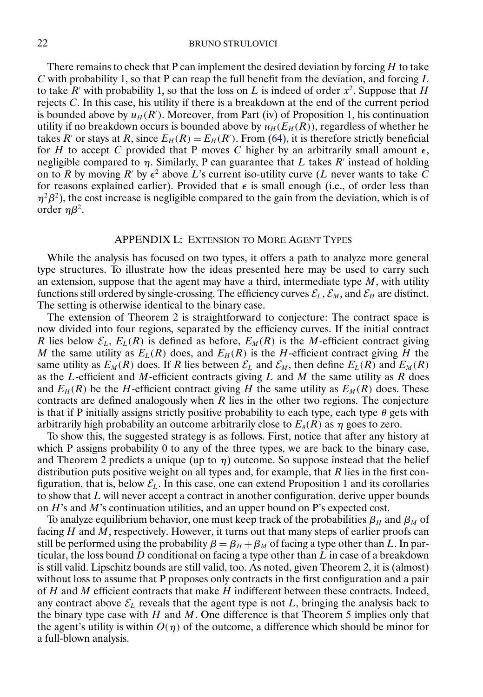#### 22 BRUNO STRULOVICI

There remains to check that P can implement the desired deviation by forcing  $H$  to take  $C$  with probability 1, so that P can reap the full benefit from the deviation, and forcing  $L$ to take R' with probability 1, so that the loss on L is indeed of order  $x^2$ . Suppose that H rejects C. In this case, his utility if there is a breakdown at the end of the current period is bounded above by  $u_H(R')$ . Moreover, from Part (iv) of Proposition 1, his continuation utility if no breakdown occurs is bounded above by  $u_H(E_H(R))$ , regardless of whether he takes R' or stays at R, since  $E_H(R) = E_H(R')$ . From [\(64\)](#page-20-0), it is therefore strictly beneficial for H to accept C provided that P moves C higher by an arbitrarily small amount  $\epsilon$ , negligible compared to  $\eta$ . Similarly, P can guarantee that L takes R' instead of holding on to R by moving R' by  $\epsilon^2$  above L's current iso-utility curve (L never wants to take  $\bar{C}$ for reasons explained earlier). Provided that  $\epsilon$  is small enough (i.e., of order less than  $\eta^2 \beta^2$ ), the cost increase is negligible compared to the gain from the deviation, which is of order  $ηβ²$ .

## APPENDIX L: EXTENSION TO MORE AGENT TYPES

While the analysis has focused on two types, it offers a path to analyze more general type structures. To illustrate how the ideas presented here may be used to carry such an extension, suppose that the agent may have a third, intermediate type  $M$ , with utility functions still ordered by single-crossing. The efficiency curves  $\mathcal{E}_L$ ,  $\mathcal{E}_M$ , and  $\mathcal{E}_H$  are distinct. The setting is otherwise identical to the binary case.

The extension of Theorem 2 is straightforward to conjecture: The contract space is now divided into four regions, separated by the efficiency curves. If the initial contract R lies below  $\mathcal{E}_L$ ,  $E_L(R)$  is defined as before,  $E_M(R)$  is the M-efficient contract giving M the same utility as  $E_L(R)$  does, and  $E_H(R)$  is the H-efficient contract giving H the same utility as  $E_M(R)$  does. If R lies between  $\mathcal{E}_L$  and  $\mathcal{E}_M$ , then define  $E_L(R)$  and  $E_M(R)$ as the L-efficient and M-efficient contracts giving  $L$  and  $M$  the same utility as  $R$  does and  $E_H(R)$  be the H-efficient contract giving H the same utility as  $E_M(R)$  does. These contracts are defined analogously when  $R$  lies in the other two regions. The conjecture is that if P initially assigns strictly positive probability to each type, each type  $\theta$  gets with arbitrarily high probability an outcome arbitrarily close to  $E_{\theta}(R)$  as  $\eta$  goes to zero.

To show this, the suggested strategy is as follows. First, notice that after any history at which P assigns probability 0 to any of the three types, we are back to the binary case, and Theorem 2 predicts a unique (up to  $\eta$ ) outcome. So suppose instead that the belief distribution puts positive weight on all types and, for example, that  $R$  lies in the first configuration, that is, below  $\mathcal{E}_L$ . In this case, one can extend Proposition 1 and its corollaries to show that  $L$  will never accept a contract in another configuration, derive upper bounds on  $H$ 's and  $M$ 's continuation utilities, and an upper bound on P's expected cost.

To analyze equilibrium behavior, one must keep track of the probabilities  $\beta_H$  and  $\beta_M$  of facing  $H$  and  $M$ , respectively. However, it turns out that many steps of earlier proofs can still be performed using the probability  $\beta = \beta_H + \beta_M$  of facing a type other than L. In particular, the loss bound  $D$  conditional on facing a type other than  $L$  in case of a breakdown is still valid. Lipschitz bounds are still valid, too. As noted, given Theorem 2, it is (almost) without loss to assume that P proposes only contracts in the first configuration and a pair of  $H$  and  $M$  efficient contracts that make  $H$  indifferent between these contracts. Indeed, any contract above  $\mathcal{E}_L$  reveals that the agent type is not L, bringing the analysis back to the binary type case with  $H$  and  $M$ . One difference is that Theorem 5 implies only that the agent's utility is within  $O(\eta)$  of the outcome, a difference which should be minor for a full-blown analysis.